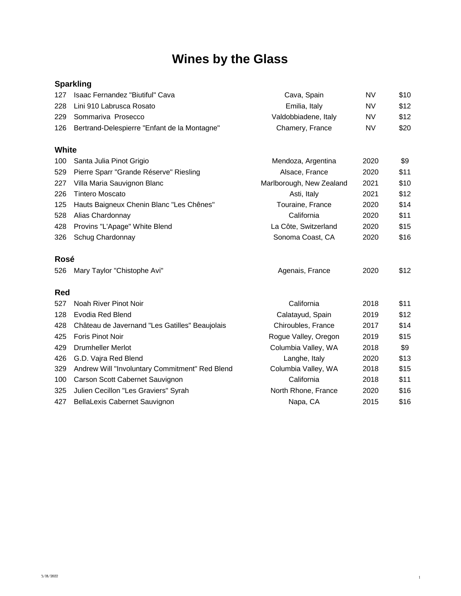# **Wines by the Glass**

# **Sparkling**

| 127 | Isaac Fernandez "Biutiful" Cava                  | Cava, Spain          | NV        | \$10 |
|-----|--------------------------------------------------|----------------------|-----------|------|
|     | 228 Lini 910 Labrusca Rosato                     | Emilia, Italy        | NV        | \$12 |
|     | 229 Sommariva Prosecco                           | Valdobbiadene, Italy | <b>NV</b> | \$12 |
|     | 126 Bertrand-Delespierre "Enfant de la Montagne" | Chamery, France      | NV        | \$20 |

### **White**

| 100 | Santa Julia Pinot Grigio                     | Mendoza, Argentina       | 2020 | \$9  |
|-----|----------------------------------------------|--------------------------|------|------|
| 529 | Pierre Sparr "Grande Réserve" Riesling       | Alsace, France           | 2020 | \$11 |
| 227 | Villa Maria Sauvignon Blanc                  | Marlborough, New Zealand | 2021 | \$10 |
| 226 | <b>Tintero Moscato</b>                       | Asti, Italy              | 2021 | \$12 |
|     | 125 Hauts Baigneux Chenin Blanc "Les Chênes" | Touraine, France         | 2020 | \$14 |
| 528 | Alias Chardonnay                             | California               | 2020 | \$11 |
|     | 428 Provins "L'Apage" White Blend            | La Côte, Switzerland     | 2020 | \$15 |
| 326 | Schug Chardonnay                             | Sonoma Coast, CA         | 2020 | \$16 |
|     |                                              |                          |      |      |

# **Rosé**

| 526 | Mary Taylor "Chistophe Avi"                    | Agenais, France      | 2020 | \$12 |
|-----|------------------------------------------------|----------------------|------|------|
| Red |                                                |                      |      |      |
| 527 | Noah River Pinot Noir                          | California           | 2018 | \$11 |
| 128 | Evodia Red Blend                               | Calatayud, Spain     | 2019 | \$12 |
| 428 | Château de Javernand "Les Gatilles" Beaujolais | Chiroubles, France   | 2017 | \$14 |
| 425 | <b>Foris Pinot Noir</b>                        | Rogue Valley, Oregon | 2019 | \$15 |
| 429 | Drumheller Merlot                              | Columbia Valley, WA  | 2018 | \$9  |
| 426 | G.D. Vajra Red Blend                           | Langhe, Italy        | 2020 | \$13 |
| 329 | Andrew Will "Involuntary Commitment" Red Blend | Columbia Valley, WA  | 2018 | \$15 |
| 100 | Carson Scott Cabernet Sauvignon                | California           | 2018 | \$11 |
| 325 | Julien Cecillon "Les Graviers" Syrah           | North Rhone, France  | 2020 | \$16 |
| 427 | <b>BellaLexis Cabernet Sauvignon</b>           | Napa, CA             | 2015 | \$16 |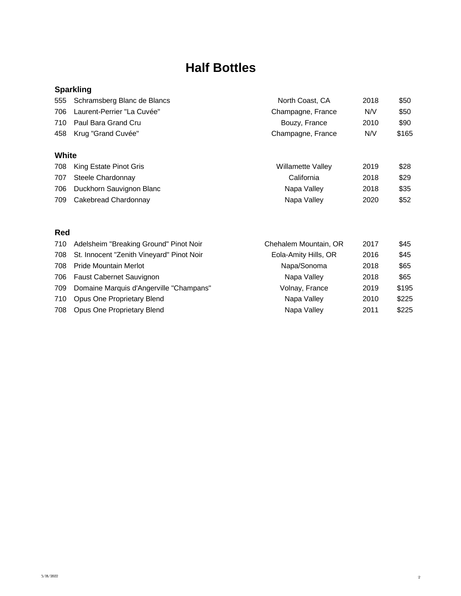# **Half Bottles**

# **Sparkling**

|     | 458 Krug "Grand Cuvée"          | Champagne, France | N/V  | \$165 |
|-----|---------------------------------|-------------------|------|-------|
|     | 710 Paul Bara Grand Cru         | Bouzy, France     | 2010 | \$90  |
| 706 | Laurent-Perrier "La Cuvée"      | Champagne, France | N/V  | \$50  |
|     | 555 Schramsberg Blanc de Blancs | North Coast, CA   | 2018 | \$50  |

### **White**

|     | 708 King Estate Pinot Gris   | Willamette Valley | 2019 | \$28 |
|-----|------------------------------|-------------------|------|------|
|     | 707 Steele Chardonnay        | California        | 2018 | \$29 |
|     | 706 Duckhorn Sauvignon Blanc | Napa Valley       | 2018 | \$35 |
| 709 | Cakebread Chardonnay         | Napa Valley       | 2020 | \$52 |

### **Red**

| Adelsheim "Breaking Ground" Pinot Noir        | Chehalem Mountain, OR | 2017 | \$45  |
|-----------------------------------------------|-----------------------|------|-------|
| 708 St. Innocent "Zenith Vineyard" Pinot Noir | Eola-Amity Hills, OR  | 2016 | \$45  |
| <b>Pride Mountain Merlot</b>                  | Napa/Sonoma           | 2018 | \$65  |
| <b>Faust Cabernet Sauvignon</b>               | Napa Valley           | 2018 | \$65  |
| Domaine Marquis d'Angerville "Champans"       | Volnay, France        | 2019 | \$195 |
| Opus One Proprietary Blend                    | Napa Valley           | 2010 | \$225 |
| <b>Opus One Proprietary Blend</b>             | Napa Valley           | 2011 | \$225 |
|                                               |                       |      |       |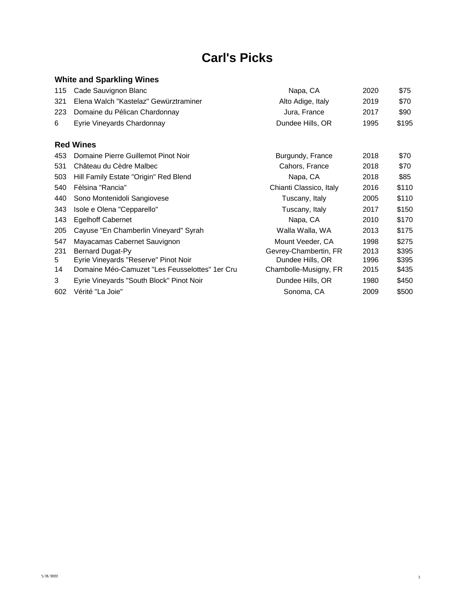# **Carl's Picks**

# **White and Sparkling Wines**

|    | 115 Cade Sauvignon Blanc                  | Napa, CA          | 2020 | \$75  |
|----|-------------------------------------------|-------------------|------|-------|
|    | 321 Elena Walch "Kastelaz" Gewürztraminer | Alto Adige, Italy | 2019 | \$70  |
|    | 223 Domaine du Pélican Chardonnay         | Jura, France      | 2017 | \$90  |
| 6. | Eyrie Vineyards Chardonnay                | Dundee Hills, OR  | 1995 | \$195 |
|    |                                           |                   |      |       |

#### **Red Wines**

| 453 | Domaine Pierre Guillemot Pinot Noir            | Burgundy, France        | 2018 | \$70  |
|-----|------------------------------------------------|-------------------------|------|-------|
| 531 | Château du Cèdre Malbec                        | Cahors, France          | 2018 | \$70  |
| 503 | Hill Family Estate "Origin" Red Blend          | Napa, CA                | 2018 | \$85  |
| 540 | Fèlsina "Rancia"                               | Chianti Classico, Italy | 2016 | \$110 |
| 440 | Sono Montenidoli Sangiovese                    | Tuscany, Italy          | 2005 | \$110 |
| 343 | Isole e Olena "Cepparello"                     | Tuscany, Italy          | 2017 | \$150 |
| 143 | <b>Egelhoff Cabernet</b>                       | Napa, CA                | 2010 | \$170 |
| 205 | Cayuse "En Chamberlin Vineyard" Syrah          | Walla Walla, WA         | 2013 | \$175 |
| 547 | Mayacamas Cabernet Sauvignon                   | Mount Veeder, CA        | 1998 | \$275 |
| 231 | Bernard Dugat-Py                               | Gevrey-Chambertin, FR   | 2013 | \$395 |
| 5   | Eyrie Vineyards "Reserve" Pinot Noir           | Dundee Hills, OR        | 1996 | \$395 |
| 14  | Domaine Méo-Camuzet "Les Feusselottes" 1er Cru | Chambolle-Musigny, FR   | 2015 | \$435 |
| 3   | Eyrie Vineyards "South Block" Pinot Noir       | Dundee Hills, OR        | 1980 | \$450 |
| 602 | Vérité "La Joie"                               | Sonoma, CA              | 2009 | \$500 |
|     |                                                |                         |      |       |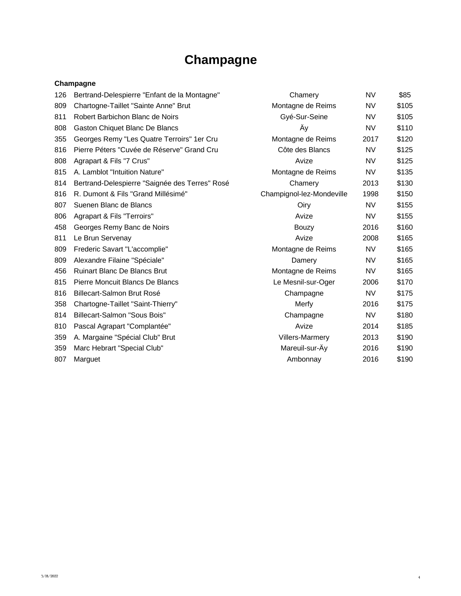# **Champagne**

#### **Champagne**

| 126 | Bertrand-Delespierre "Enfant de la Montagne"   | Chamery                   | <b>NV</b> | \$85  |
|-----|------------------------------------------------|---------------------------|-----------|-------|
| 809 | Chartogne-Taillet "Sainte Anne" Brut           | Montagne de Reims         | <b>NV</b> | \$105 |
| 811 | Robert Barbichon Blanc de Noirs                | Gyé-Sur-Seine             | <b>NV</b> | \$105 |
| 808 | Gaston Chiquet Blanc De Blancs                 | Äy                        | <b>NV</b> | \$110 |
| 355 | Georges Remy "Les Quatre Terroirs" 1er Cru     | Montagne de Reims         | 2017      | \$120 |
| 816 | Pierre Péters "Cuvée de Réserve" Grand Cru     | Côte des Blancs           | <b>NV</b> | \$125 |
| 808 | Agrapart & Fils "7 Crus"                       | Avize                     | <b>NV</b> | \$125 |
| 815 | A. Lamblot "Intuition Nature"                  | Montagne de Reims         | <b>NV</b> | \$135 |
| 814 | Bertrand-Delespierre "Saignée des Terres" Rosé | Chamery                   | 2013      | \$130 |
| 816 | R. Dumont & Fils "Grand Millésimé"             | Champignol-lez-Mondeville | 1998      | \$150 |
| 807 | Suenen Blanc de Blancs                         | Oiry                      | <b>NV</b> | \$155 |
| 806 | Agrapart & Fils "Terroirs"                     | Avize                     | <b>NV</b> | \$155 |
| 458 | Georges Remy Banc de Noirs                     | <b>Bouzy</b>              | 2016      | \$160 |
| 811 | Le Brun Servenay                               | Avize                     | 2008      | \$165 |
| 809 | Frederic Savart "L'accomplie"                  | Montagne de Reims         | NV.       | \$165 |
| 809 | Alexandre Filaine "Spéciale"                   | Damery                    | <b>NV</b> | \$165 |
| 456 | <b>Ruinart Blanc De Blancs Brut</b>            | Montagne de Reims         | <b>NV</b> | \$165 |
| 815 | Pierre Moncuit Blancs De Blancs                | Le Mesnil-sur-Oger        | 2006      | \$170 |
| 816 | Billecart-Salmon Brut Rosé                     | Champagne                 | <b>NV</b> | \$175 |
| 358 | Chartogne-Taillet "Saint-Thierry"              | Merfy                     | 2016      | \$175 |
| 814 | Billecart-Salmon "Sous Bois"                   | Champagne                 | <b>NV</b> | \$180 |
| 810 | Pascal Agrapart "Complantée"                   | Avize                     | 2014      | \$185 |
| 359 | A. Margaine "Spécial Club" Brut                | Villers-Marmery           | 2013      | \$190 |
| 359 | Marc Hebrart "Special Club"                    | Mareuil-sur-Ay            | 2016      | \$190 |
| 807 | Marguet                                        | Ambonnay                  | 2016      | \$190 |
|     |                                                |                           |           |       |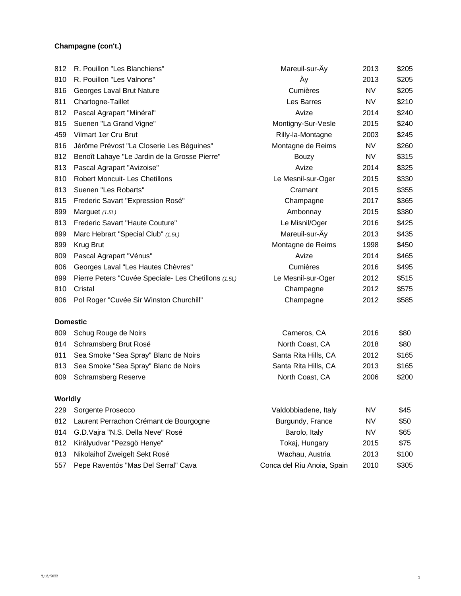#### **Champagne (con't.)**

| 812            | R. Pouillon "Les Blanchiens"                         | Mareuil-sur-Ay             | 2013      | \$205 |
|----------------|------------------------------------------------------|----------------------------|-----------|-------|
| 810            | R. Pouillon "Les Valnons"                            | Äy                         | 2013      | \$205 |
| 816            | Georges Laval Brut Nature                            | Cumières                   | NV        | \$205 |
| 811            | Chartogne-Taillet                                    | Les Barres                 | <b>NV</b> | \$210 |
| 812            | Pascal Agrapart "Minéral"                            | Avize                      | 2014      | \$240 |
| 815            | Suenen "La Grand Vigne"                              | Montigny-Sur-Vesle         | 2015      | \$240 |
| 459            | Vilmart 1er Cru Brut                                 | Rilly-la-Montagne          | 2003      | \$245 |
| 816            | Jérôme Prévost "La Closerie Les Béguines"            | Montagne de Reims          | <b>NV</b> | \$260 |
| 812            | Benoît Lahaye "Le Jardin de la Grosse Pierre"        | Bouzy                      | <b>NV</b> | \$315 |
| 813            | Pascal Agrapart "Avizoise"                           | Avize                      | 2014      | \$325 |
| 810            | Robert Moncuit- Les Chetillons                       | Le Mesnil-sur-Oger         | 2015      | \$330 |
| 813            | Suenen "Les Robarts"                                 | Cramant                    | 2015      | \$355 |
| 815            | Frederic Savart "Expression Rosé"                    | Champagne                  | 2017      | \$365 |
| 899            | Marguet (1.5L)                                       | Ambonnay                   | 2015      | \$380 |
| 813            | Frederic Savart "Haute Couture"                      | Le Misnil/Oger             | 2016      | \$425 |
| 899            | Marc Hebrart "Special Club" (1.5L)                   | Mareuil-sur-Äy             | 2013      | \$435 |
| 899            | Krug Brut                                            | Montagne de Reims          | 1998      | \$450 |
| 809            | Pascal Agrapart "Vénus"                              | Avize                      | 2014      | \$465 |
| 806            | Georges Laval "Les Hautes Chèvres"                   | Cumières                   | 2016      | \$495 |
| 899            | Pierre Peters "Cuvée Speciale- Les Chetillons (1.5L) | Le Mesnil-sur-Oger         | 2012      | \$515 |
| 810            | Cristal                                              | Champagne                  | 2012      | \$575 |
| 806            | Pol Roger "Cuvée Sir Winston Churchill"              | Champagne                  | 2012      | \$585 |
|                | <b>Domestic</b>                                      |                            |           |       |
| 809            | Schug Rouge de Noirs                                 | Carneros, CA               | 2016      | \$80  |
| 814            | Schramsberg Brut Rosé                                | North Coast, CA            | 2018      | \$80  |
| 811            | Sea Smoke "Sea Spray" Blanc de Noirs                 | Santa Rita Hills, CA       | 2012      | \$165 |
| 813            | Sea Smoke "Sea Spray" Blanc de Noirs                 | Santa Rita Hills, CA       | 2013      | \$165 |
| 809            | <b>Schramsberg Reserve</b>                           | North Coast, CA            | 2006      | \$200 |
| <b>Worldly</b> |                                                      |                            |           |       |
| 229            | Sorgente Prosecco                                    | Valdobbiadene, Italy       | <b>NV</b> | \$45  |
| 812            | Laurent Perrachon Crémant de Bourgogne               | Burgundy, France           | <b>NV</b> | \$50  |
| 814            | G.D.Vajra "N.S. Della Neve" Rosé                     | Barolo, Italy              | <b>NV</b> | \$65  |
| 812            | Királyudvar "Pezsgö Henye"                           | Tokaj, Hungary             | 2015      | \$75  |
| 813            | Nikolaihof Zweigelt Sekt Rosé                        | Wachau, Austria            | 2013      | \$100 |
| 557            | Pepe Raventós "Mas Del Serral" Cava                  | Conca del Riu Anoia, Spain | 2010      | \$305 |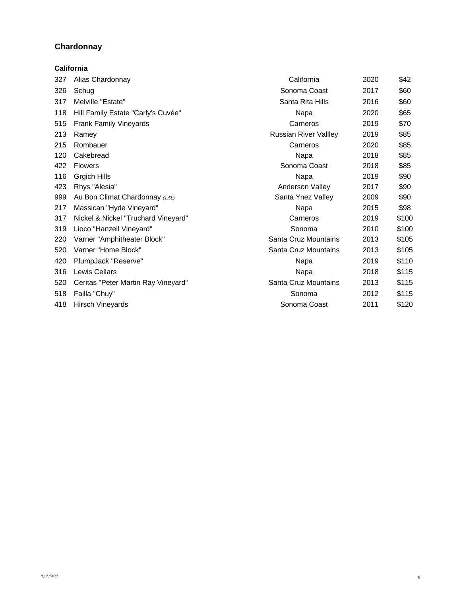# **Chardonnay**

|     | California                          |                              |      |       |
|-----|-------------------------------------|------------------------------|------|-------|
| 327 | Alias Chardonnay                    | California                   | 2020 | \$42  |
| 326 | Schug                               | Sonoma Coast                 | 2017 | \$60  |
| 317 | Melville "Estate"                   | Santa Rita Hills             | 2016 | \$60  |
| 118 | Hill Family Estate "Carly's Cuvée"  | Napa                         | 2020 | \$65  |
| 515 | <b>Frank Family Vineyards</b>       | Carneros                     | 2019 | \$70  |
| 213 | Ramey                               | <b>Russian River Vallley</b> | 2019 | \$85  |
| 215 | Rombauer                            | Carneros                     | 2020 | \$85  |
| 120 | Cakebread                           | Napa                         | 2018 | \$85  |
| 422 | <b>Flowers</b>                      | Sonoma Coast                 | 2018 | \$85  |
| 116 | Grgich Hills                        | Napa                         | 2019 | \$90  |
| 423 | Rhys "Alesia"                       | Anderson Valley              | 2017 | \$90  |
| 999 | Au Bon Climat Chardonnay (1.5L)     | Santa Ynez Valley            | 2009 | \$90  |
| 217 | Massican "Hyde Vineyard"            | Napa                         | 2015 | \$98  |
| 317 | Nickel & Nickel "Truchard Vineyard" | Carneros                     | 2019 | \$100 |
| 319 | Lioco "Hanzell Vineyard"            | Sonoma                       | 2010 | \$100 |
| 220 | Varner "Amphitheater Block"         | Santa Cruz Mountains         | 2013 | \$105 |
| 520 | Varner "Home Block"                 | Santa Cruz Mountains         | 2013 | \$105 |
| 420 | PlumpJack "Reserve"                 | Napa                         | 2019 | \$110 |
| 316 | <b>Lewis Cellars</b>                | Napa                         | 2018 | \$115 |
| 520 | Ceritas "Peter Martin Ray Vineyard" | Santa Cruz Mountains         | 2013 | \$115 |
| 518 | Failla "Chuy"                       | Sonoma                       | 2012 | \$115 |
| 418 | Hirsch Vineyards                    | Sonoma Coast                 | 2011 | \$120 |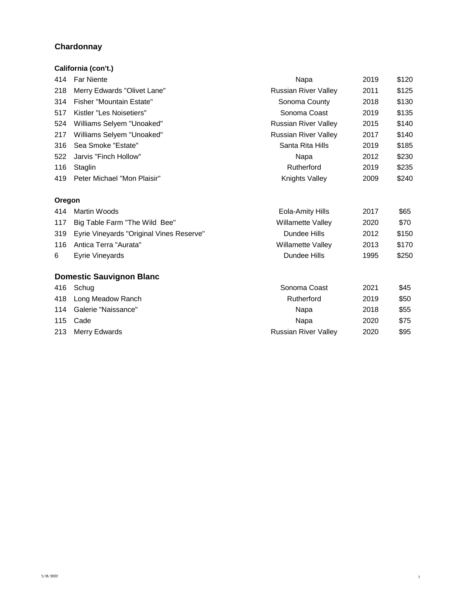#### **Chardonnay**

# 414 Far Niente **Napa 2019 \$120** 218 Merry Edwards "Olivet Lane" And Russian River Valley 2011 \$125 314 Fisher "Mountain Estate" Now the Sonoma County 2018 \$130 517 Kistler "Les Noisetiers" Sonoma Coast 2019 \$135 524 Williams Selyem "Unoaked" Market States Russian River Valley 2015 \$140 217 Williams Selyem "Unoaked" Maria Late Russian River Valley 2017 \$140 316 Sea Smoke "Estate" Santa Rita Hills 3019 \$185 522 Jarvis "Finch Hollow" Napa 2012 \$230 116 Staglin **Communist Communist Communist Communist Communist Communist Communist Communist Communist Communist Communist Communist Communist Communist Communist Communist Communist Communist Communist Communist Communist** 419 Peter Michael "Mon Plaisir" Knights Valley 2009 \$240 414 Martin Woods **Eola-Amity Hills** 2017 \$65 117 Big Table Farm "The Wild Bee" Noting the Willamette Valley 2020 \$70 319 Eyrie Vineyards "Original Vines Reserve" bundee Hills 2012 \$150 116 Antica Terra "Aurata" Willamette Valley 2013 \$170 6 Eyrie Vineyards Dundee Hills 1995 \$250 416 Schug Sonoma Coast 2021 \$45 418 Long Meadow Ranch **Rutherford** 2019 \$50 114 Galerie "Naissance" Napa 2018 \$55 115 Cade Napa 2020 \$75 213 Merry Edwards **Russian River Valley** 2020 \$95 **Domestic Sauvignon Blanc Oregon California (con't.)**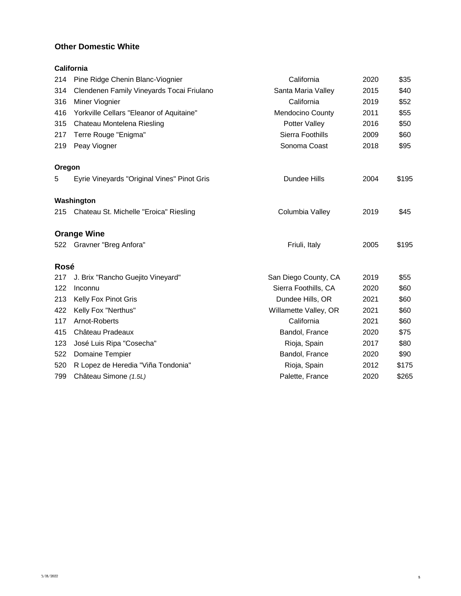#### **Other Domestic White**

**California**

| 214    | Pine Ridge Chenin Blanc-Viognier            | California            | 2020 | \$35  |
|--------|---------------------------------------------|-----------------------|------|-------|
| 314    | Clendenen Family Vineyards Tocai Friulano   | Santa Maria Valley    | 2015 | \$40  |
| 316    | Miner Viognier                              | California            | 2019 | \$52  |
| 416    | Yorkville Cellars "Eleanor of Aquitaine"    | Mendocino County      | 2011 | \$55  |
| 315    | Chateau Montelena Riesling                  | Potter Valley         | 2016 | \$50  |
| 217    | Terre Rouge "Enigma"                        | Sierra Foothills      | 2009 | \$60  |
| 219    | Peay Viogner                                | Sonoma Coast          | 2018 | \$95  |
| Oregon |                                             |                       |      |       |
| 5      | Eyrie Vineyards "Original Vines" Pinot Gris | Dundee Hills          | 2004 | \$195 |
|        | Washington                                  |                       |      |       |
|        | 215 Chateau St. Michelle "Eroica" Riesling  | Columbia Valley       | 2019 | \$45  |
|        | <b>Orange Wine</b>                          |                       |      |       |
|        | 522 Gravner "Breg Anfora"                   | Friuli, Italy         | 2005 | \$195 |
| Rosé   |                                             |                       |      |       |
| 217    | J. Brix "Rancho Guejito Vineyard"           | San Diego County, CA  | 2019 | \$55  |
| 122    | Inconnu                                     | Sierra Foothills, CA  | 2020 | \$60  |
| 213    | Kelly Fox Pinot Gris                        | Dundee Hills, OR      | 2021 | \$60  |
| 422    | Kelly Fox "Nerthus"                         | Willamette Valley, OR | 2021 | \$60  |
| 117    | Arnot-Roberts                               | California            | 2021 | \$60  |
| 415    | Château Pradeaux                            | Bandol, France        | 2020 | \$75  |
| 123    | José Luis Ripa "Cosecha"                    | Rioja, Spain          | 2017 | \$80  |
| 522    | Domaine Tempier                             | Bandol, France        | 2020 | \$90  |
| 520    | R Lopez de Heredia "Viña Tondonia"          | Rioja, Spain          | 2012 | \$175 |
| 799    | Château Simone (1.5L)                       | Palette, France       | 2020 | \$265 |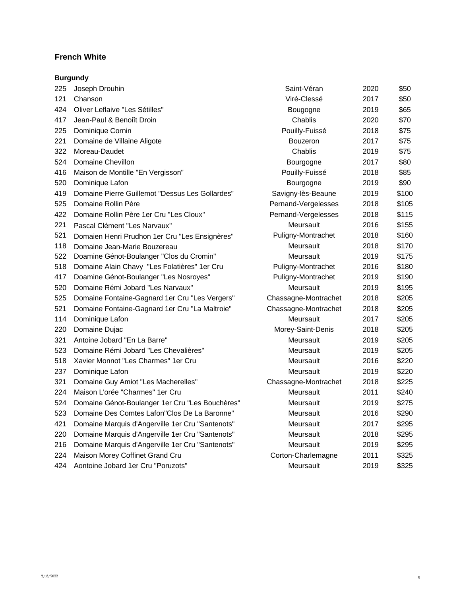#### **French White**

|     | <b>Burgundy</b>                                  |                      |      |       |
|-----|--------------------------------------------------|----------------------|------|-------|
| 225 | Joseph Drouhin                                   | Saint-Véran          | 2020 | \$50  |
| 121 | Chanson                                          | Viré-Clessé          | 2017 | \$50  |
| 424 | Oliver Leflaive "Les Sétilles"                   | Bougogne             | 2019 | \$65  |
| 417 | Jean-Paul & Benoiît Droin                        | Chablis              | 2020 | \$70  |
| 225 | Dominique Cornin                                 | Pouilly-Fuissé       | 2018 | \$75  |
| 221 | Domaine de Villaine Aligote                      | <b>Bouzeron</b>      | 2017 | \$75  |
| 322 | Moreau-Daudet                                    | Chablis              | 2019 | \$75  |
| 524 | Domaine Chevillon                                | Bourgogne            | 2017 | \$80  |
| 416 | Maison de Montille "En Vergisson"                | Pouilly-Fuissé       | 2018 | \$85  |
| 520 | Dominique Lafon                                  | Bourgogne            | 2019 | \$90  |
| 419 | Domaine Pierre Guillemot "Dessus Les Gollardes"  | Savigny-lès-Beaune   | 2019 | \$100 |
| 525 | Domaine Rollin Père                              | Pernand-Vergelesses  | 2018 | \$105 |
| 422 | Domaine Rollin Père 1er Cru "Les Cloux"          | Pernand-Vergelesses  | 2018 | \$115 |
| 221 | Pascal Clément "Les Narvaux"                     | Meursault            | 2016 | \$155 |
| 521 | Domaien Henri Prudhon 1er Cru "Les Ensignères"   | Puligny-Montrachet   | 2018 | \$160 |
| 118 | Domaine Jean-Marie Bouzereau                     | Meursault            | 2018 | \$170 |
| 522 | Doamine Génot-Boulanger "Clos du Cromin"         | Meursault            | 2019 | \$175 |
| 518 | Domaine Alain Chavy "Les Folatières" 1er Cru     | Puligny-Montrachet   | 2016 | \$180 |
| 417 | Doamine Génot-Boulanger "Les Nosroyes"           | Puligny-Montrachet   | 2019 | \$190 |
| 520 | Domaine Rémi Jobard "Les Narvaux"                | Meursault            | 2019 | \$195 |
| 525 | Domaine Fontaine-Gagnard 1er Cru "Les Vergers"   | Chassagne-Montrachet | 2018 | \$205 |
| 521 | Domaine Fontaine-Gagnard 1er Cru "La Maltroie"   | Chassagne-Montrachet | 2018 | \$205 |
| 114 | Dominique Lafon                                  | Meursault            | 2017 | \$205 |
| 220 | Domaine Dujac                                    | Morey-Saint-Denis    | 2018 | \$205 |
| 321 | Antoine Jobard "En La Barre"                     | Meursault            | 2019 | \$205 |
| 523 | Domaine Rémi Jobard "Les Chevalières"            | Meursault            | 2019 | \$205 |
| 518 | Xavier Monnot "Les Charmes" 1er Cru              | Meursault            | 2016 | \$220 |
| 237 | Dominique Lafon                                  | Meursault            | 2019 | \$220 |
| 321 | Domaine Guy Amiot "Les Macherelles"              | Chassagne-Montrachet | 2018 | \$225 |
| 224 | Maison L'orée "Charmes" 1er Cru                  | Meursault            | 2011 | \$240 |
| 524 | Domaine Génot-Boulanger 1er Cru "Les Bouchères"  | Meursault            | 2019 | \$275 |
| 523 | Domaine Des Comtes Lafon"Clos De La Baronne"     | Meursault            | 2016 | \$290 |
| 421 | Domaine Marquis d'Angerville 1er Cru "Santenots" | Meursault            | 2017 | \$295 |
| 220 | Domaine Marquis d'Angerville 1er Cru "Santenots" | Meursault            | 2018 | \$295 |
| 216 | Domaine Marquis d'Angerville 1er Cru "Santenots" | Meursault            | 2019 | \$295 |
| 224 | Maison Morey Coffinet Grand Cru                  | Corton-Charlemagne   | 2011 | \$325 |
| 424 | Aontoine Jobard 1er Cru "Poruzots"               | Meursault            | 2019 | \$325 |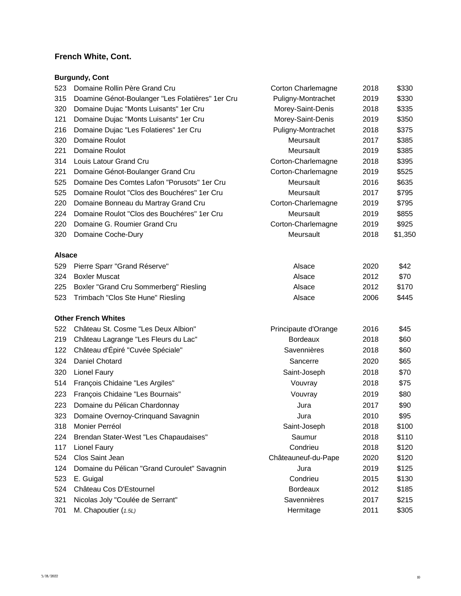# **French White, Cont.**

## **Burgundy, Cont**

| 523           | Domaine Rollin Père Grand Cru                    | Corton Charlemagne   | 2018 | \$330   |
|---------------|--------------------------------------------------|----------------------|------|---------|
| 315           | Doamine Génot-Boulanger "Les Folatières" 1er Cru | Puligny-Montrachet   | 2019 | \$330   |
| 320           | Domaine Dujac "Monts Luisants" 1er Cru           | Morey-Saint-Denis    | 2018 | \$335   |
| 121           | Domaine Dujac "Monts Luisants" 1er Cru           | Morey-Saint-Denis    | 2019 | \$350   |
| 216           | Domaine Dujac "Les Folatieres" 1er Cru           | Puligny-Montrachet   | 2018 | \$375   |
| 320           | Domaine Roulot                                   | Meursault            | 2017 | \$385   |
| 221           | Domaine Roulot                                   | Meursault            | 2019 | \$385   |
| 314           | Louis Latour Grand Cru                           | Corton-Charlemagne   | 2018 | \$395   |
| 221           | Domaine Génot-Boulanger Grand Cru                | Corton-Charlemagne   | 2019 | \$525   |
| 525           | Domaine Des Comtes Lafon "Porusots" 1er Cru      | Meursault            | 2016 | \$635   |
| 525           | Domaine Roulot "Clos des Bouchéres" 1er Cru      | Meursault            | 2017 | \$795   |
| 220           | Domaine Bonneau du Martray Grand Cru             | Corton-Charlemagne   | 2019 | \$795   |
| 224           | Domaine Roulot "Clos des Bouchéres" 1er Cru      | Meursault            | 2019 | \$855   |
| 220           | Domaine G. Roumier Grand Cru                     | Corton-Charlemagne   | 2019 | \$925   |
| 320           | Domaine Coche-Dury                               | Meursault            | 2018 | \$1,350 |
| <b>Alsace</b> |                                                  |                      |      |         |
| 529           | Pierre Sparr "Grand Réserve"                     | Alsace               | 2020 | \$42    |
| 324           | <b>Boxler Muscat</b>                             | Alsace               | 2012 | \$70    |
| 225           | Boxler "Grand Cru Sommerberg" Riesling           | Alsace               | 2012 | \$170   |
| 523           | Trimbach "Clos Ste Hune" Riesling                | Alsace               | 2006 | \$445   |
|               | <b>Other French Whites</b>                       |                      |      |         |
| 522           | Château St. Cosme "Les Deux Albion"              | Principaute d'Orange | 2016 | \$45    |
| 219           | Château Lagrange "Les Fleurs du Lac"             | <b>Bordeaux</b>      | 2018 | \$60    |
| 122           | Château d'Épiré "Cuvée Spéciale"                 | Savennières          | 2018 | \$60    |
| 324           | Daniel Chotard                                   | Sancerre             | 2020 | \$65    |
| 320           | Lionel Faury                                     | Saint-Joseph         | 2018 | \$70    |
| 514           | François Chidaine "Les Argiles"                  | Vouvray              | 2018 | \$75    |
| 223           | François Chidaine "Les Bournais"                 | Vouvray              | 2019 | \$80    |
| 223           | Domaine du Pélican Chardonnay                    | Jura                 | 2017 | \$90    |
| 323           | Domaine Overnoy-Crinquand Savagnin               | Jura                 | 2010 | \$95    |
| 318           | Monier Perréol                                   | Saint-Joseph         | 2018 | \$100   |
| 224           | Brendan Stater-West "Les Chapaudaises"           | Saumur               | 2018 | \$110   |
| 117           | Lionel Faury                                     | Condrieu             | 2018 | \$120   |
| 524           | Clos Saint Jean                                  | Châteauneuf-du-Pape  | 2020 | \$120   |
| 124           | Domaine du Pélican "Grand Curoulet" Savagnin     | Jura                 | 2019 | \$125   |
| 523           | E. Guigal                                        | Condrieu             | 2015 | \$130   |
| 524           | Château Cos D'Estournel                          | <b>Bordeaux</b>      | 2012 | \$185   |
| 321           | Nicolas Joly "Coulée de Serrant"                 | Savennières          | 2017 | \$215   |
| 701           | M. Chapoutier (1.5L)                             | Hermitage            | 2011 | \$305   |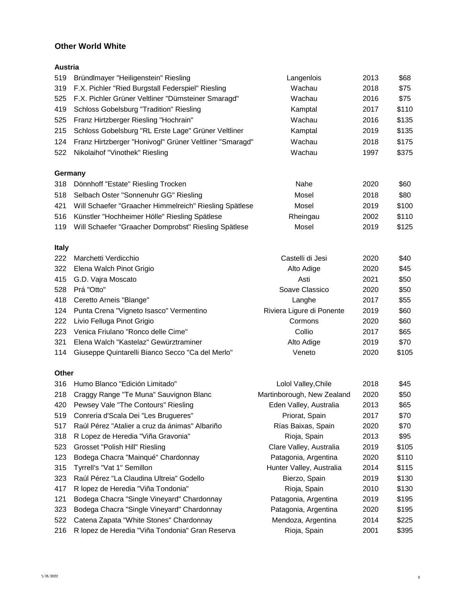### **Other World White**

| 519          | Bründlmayer "Heiligenstein" Riesling                    | Langenlois                 | 2013 | \$68  |
|--------------|---------------------------------------------------------|----------------------------|------|-------|
| 319          | F.X. Pichler "Ried Burgstall Federspiel" Riesling       | Wachau                     | 2018 | \$75  |
| 525          | F.X. Pichler Grüner Veltliner "Dürnsteiner Smaragd"     | Wachau                     | 2016 | \$75  |
| 419          | <b>Schloss Gobelsburg "Tradition" Riesling</b>          | Kamptal                    | 2017 | \$110 |
| 525          | Franz Hirtzberger Riesling "Hochrain"                   | Wachau                     | 2016 | \$135 |
| 215          | Schloss Gobelsburg "RL Erste Lage" Grüner Veltliner     | Kamptal                    | 2019 | \$135 |
| 124          | Franz Hirtzberger "Honivogl" Grüner Veltliner "Smaragd" | Wachau                     | 2018 | \$175 |
| 522          | Nikolaihof "Vinothek" Riesling                          | Wachau                     | 1997 | \$375 |
| Germany      |                                                         |                            |      |       |
| 318          | Dönnhoff "Estate" Riesling Trocken                      | Nahe                       | 2020 | \$60  |
| 518          | Selbach Oster "Sonnenuhr GG" Riesling                   | Mosel                      | 2018 | \$80  |
| 421          | Will Schaefer "Graacher Himmelreich" Riesling Spätlese  | Mosel                      | 2019 | \$100 |
| 516          | Künstler "Hochheimer Hölle" Riesling Spätlese           | Rheingau                   | 2002 | \$110 |
| 119          | Will Schaefer "Graacher Domprobst" Riesling Spätlese    | Mosel                      | 2019 | \$125 |
| <b>Italy</b> |                                                         |                            |      |       |
| 222          | Marchetti Verdicchio                                    | Castelli di Jesi           | 2020 | \$40  |
| 322          | Elena Walch Pinot Grigio                                | Alto Adige                 | 2020 | \$45  |
| 415          | G.D. Vajra Moscato                                      | Asti                       | 2021 | \$50  |
| 528          | Prá "Otto"                                              | Soave Classico             | 2020 | \$50  |
| 418          | Ceretto Arneis "Blange"                                 | Langhe                     | 2017 | \$55  |
| 124          | Punta Crena "Vigneto Isasco" Vermentino                 | Riviera Ligure di Ponente  | 2019 | \$60  |
| 222          | Livio Felluga Pinot Grigio                              | Cormons                    | 2020 | \$60  |
| 223          | Venica Friulano "Ronco delle Cime"                      | Collio                     | 2017 | \$65  |
| 321          | Elena Walch "Kastelaz" Gewürztraminer                   | Alto Adige                 | 2019 | \$70  |
| 114          | Giuseppe Quintarelli Bianco Secco "Ca del Merlo"        | Veneto                     | 2020 | \$105 |
| Other        |                                                         |                            |      |       |
| 316          | Humo Blanco "Edición Limitado"                          | Lolol Valley, Chile        | 2018 | \$45  |
| 218          | Craggy Range "Te Muna" Sauvignon Blanc                  | Martinborough, New Zealand | 2020 | \$50  |
| 420          | Pewsey Vale "The Contours" Riesling                     | Eden Valley, Australia     | 2013 | \$65  |
| 519          | Conreria d'Scala Dei "Les Brugueres"                    | Priorat, Spain             | 2017 | \$70  |
| 517          | Raúl Pérez "Atalier a cruz da ánimas" Albariño          | Rías Baixas, Spain         | 2020 | \$70  |
| 318          | R Lopez de Heredia "Viña Gravonia"                      | Rioja, Spain               | 2013 | \$95  |
| 523          | Grosset "Polish Hill" Riesling                          | Clare Valley, Australia    | 2019 | \$105 |
| 123          | Bodega Chacra "Mainqué" Chardonnay                      | Patagonia, Argentina       | 2020 | \$110 |
| 315          | Tyrrell's "Vat 1" Semillon                              | Hunter Valley, Australia   | 2014 | \$115 |
| 323          | Raúl Pérez "La Claudina Ultreia" Godello                | Bierzo, Spain              | 2019 | \$130 |
| 417          | R lopez de Heredia "Viña Tondonia"                      | Rioja, Spain               | 2010 | \$130 |
| 121          | Bodega Chacra "Single Vineyard" Chardonnay              | Patagonia, Argentina       | 2019 | \$195 |
| 323          | Bodega Chacra "Single Vineyard" Chardonnay              | Patagonia, Argentina       | 2020 | \$195 |
| 522          | Catena Zapata "White Stones" Chardonnay                 | Mendoza, Argentina         | 2014 | \$225 |
| 216          | R lopez de Heredia "Viña Tondonia" Gran Reserva         | Rioja, Spain               | 2001 | \$395 |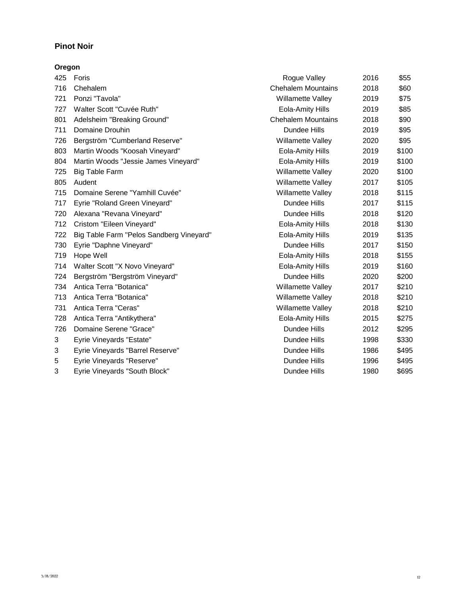### **Pinot Noir**

#### **Oregon**

| 425 | Foris                                    | Rogue Valley              | 2016 | \$55  |
|-----|------------------------------------------|---------------------------|------|-------|
| 716 | Chehalem                                 | <b>Chehalem Mountains</b> | 2018 | \$60  |
| 721 | Ponzi "Tavola"                           | Willamette Valley         | 2019 | \$75  |
| 727 | Walter Scott "Cuvée Ruth"                | Eola-Amity Hills          | 2019 | \$85  |
| 801 | Adelsheim "Breaking Ground"              | <b>Chehalem Mountains</b> | 2018 | \$90  |
| 711 | Domaine Drouhin                          | Dundee Hills              | 2019 | \$95  |
| 726 | Bergström "Cumberland Reserve"           | Willamette Valley         | 2020 | \$95  |
| 803 | Martin Woods "Koosah Vineyard"           | Eola-Amity Hills          | 2019 | \$100 |
| 804 | Martin Woods "Jessie James Vineyard"     | Eola-Amity Hills          | 2019 | \$100 |
| 725 | Big Table Farm                           | Willamette Valley         | 2020 | \$100 |
| 805 | Audent                                   | Willamette Valley         | 2017 | \$105 |
| 715 | Domaine Serene "Yamhill Cuvée"           | Willamette Valley         | 2018 | \$115 |
| 717 | Eyrie "Roland Green Vineyard"            | Dundee Hills              | 2017 | \$115 |
| 720 | Alexana "Revana Vineyard"                | Dundee Hills              | 2018 | \$120 |
| 712 | Cristom "Eileen Vineyard"                | Eola-Amity Hills          | 2018 | \$130 |
| 722 | Big Table Farm "Pelos Sandberg Vineyard" | Eola-Amity Hills          | 2019 | \$135 |
| 730 | Eyrie "Daphne Vineyard"                  | Dundee Hills              | 2017 | \$150 |
| 719 | Hope Well                                | Eola-Amity Hills          | 2018 | \$155 |
| 714 | Walter Scott "X Novo Vineyard"           | Eola-Amity Hills          | 2019 | \$160 |
| 724 | Bergström "Bergström Vineyard"           | Dundee Hills              | 2020 | \$200 |
| 734 | Antica Terra "Botanica"                  | Willamette Valley         | 2017 | \$210 |
| 713 | Antica Terra "Botanica"                  | <b>Willamette Valley</b>  | 2018 | \$210 |
| 731 | Antica Terra "Ceras"                     | Willamette Valley         | 2018 | \$210 |
| 728 | Antica Terra "Antikythera"               | Eola-Amity Hills          | 2015 | \$275 |
| 726 | Domaine Serene "Grace"                   | Dundee Hills              | 2012 | \$295 |
| 3   | Eyrie Vineyards "Estate"                 | Dundee Hills              | 1998 | \$330 |
| 3   | Eyrie Vineyards "Barrel Reserve"         | Dundee Hills              | 1986 | \$495 |
| 5   | Eyrie Vineyards "Reserve"                | Dundee Hills              | 1996 | \$495 |
| 3   | Eyrie Vineyards "South Block"            | Dundee Hills              | 1980 | \$695 |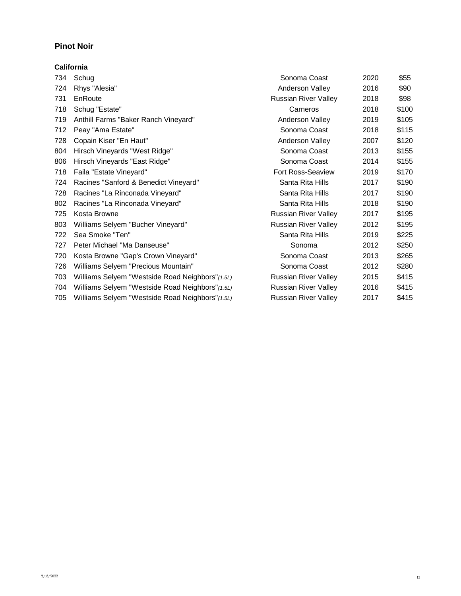#### **Pinot Noir**

#### **California**

| 734 | Schug                                            | Sonoma Coast                | 2020 | \$55  |
|-----|--------------------------------------------------|-----------------------------|------|-------|
| 724 | Rhys "Alesia"                                    | Anderson Valley             | 2016 | \$90  |
| 731 | EnRoute                                          | Russian River Valley        | 2018 | \$98  |
| 718 | Schug "Estate"                                   | Carneros                    | 2018 | \$100 |
| 719 | Anthill Farms "Baker Ranch Vineyard"             | Anderson Valley             | 2019 | \$105 |
| 712 | Peay "Ama Estate"                                | Sonoma Coast                | 2018 | \$115 |
| 728 | Copain Kiser "En Haut"                           | Anderson Valley             | 2007 | \$120 |
| 804 | Hirsch Vineyards "West Ridge"                    | Sonoma Coast                | 2013 | \$155 |
| 806 | Hirsch Vineyards "East Ridge"                    | Sonoma Coast                | 2014 | \$155 |
| 718 | Faila "Estate Vineyard"                          | <b>Fort Ross-Seaview</b>    | 2019 | \$170 |
| 724 | Racines "Sanford & Benedict Vineyard"            | Santa Rita Hills            | 2017 | \$190 |
| 728 | Racines "La Rinconada Vineyard"                  | Santa Rita Hills            | 2017 | \$190 |
| 802 | Racines "La Rinconada Vineyard"                  | Santa Rita Hills            | 2018 | \$190 |
| 725 | Kosta Browne                                     | <b>Russian River Valley</b> | 2017 | \$195 |
| 803 | Williams Selyem "Bucher Vineyard"                | <b>Russian River Valley</b> | 2012 | \$195 |
| 722 | Sea Smoke "Ten"                                  | Santa Rita Hills            | 2019 | \$225 |
| 727 | Peter Michael "Ma Danseuse"                      | Sonoma                      | 2012 | \$250 |
| 720 | Kosta Browne "Gap's Crown Vineyard"              | Sonoma Coast                | 2013 | \$265 |
| 726 | Williams Selyem "Precious Mountain"              | Sonoma Coast                | 2012 | \$280 |
| 703 | Williams Selyem "Westside Road Neighbors"(1.5L)  | <b>Russian River Valley</b> | 2015 | \$415 |
| 704 | Williams Selyem "Westside Road Neighbors"(1.5L)  | <b>Russian River Valley</b> | 2016 | \$415 |
| 705 | Williams Selyem "Westside Road Neighbors" (1.5L) | <b>Russian River Valley</b> | 2017 | \$415 |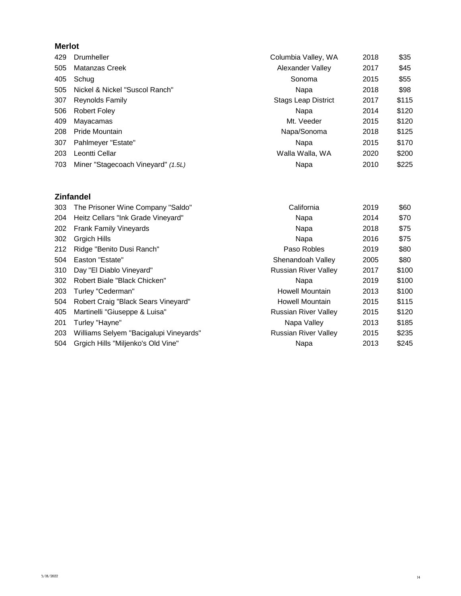### **Merlot**

| 429 | Drumheller                         | Columbia Valley, WA        | 2018 | \$35  |
|-----|------------------------------------|----------------------------|------|-------|
| 505 | Matanzas Creek                     | Alexander Valley           | 2017 | \$45  |
| 405 | Schug                              | Sonoma                     | 2015 | \$55  |
| 505 | Nickel & Nickel "Suscol Ranch"     | Napa                       | 2018 | \$98  |
| 307 | Reynolds Family                    | <b>Stags Leap District</b> | 2017 | \$115 |
| 506 | <b>Robert Foley</b>                | Napa                       | 2014 | \$120 |
| 409 | Mayacamas                          | Mt. Veeder                 | 2015 | \$120 |
| 208 | Pride Mountain                     | Napa/Sonoma                | 2018 | \$125 |
| 307 | Pahlmeyer "Estate"                 | Napa                       | 2015 | \$170 |
| 203 | Leontti Cellar                     | Walla Walla, WA            | 2020 | \$200 |
| 703 | Miner "Stagecoach Vineyard" (1.5L) | Napa                       | 2010 | \$225 |

# **Zinfandel**

| 303 | The Prisoner Wine Company "Saldo"      | California                  | 2019 | \$60  |
|-----|----------------------------------------|-----------------------------|------|-------|
| 204 | Heitz Cellars "Ink Grade Vineyard"     | Napa                        | 2014 | \$70  |
| 202 | <b>Frank Family Vineyards</b>          | Napa                        | 2018 | \$75  |
| 302 | <b>Grgich Hills</b>                    | Napa                        | 2016 | \$75  |
| 212 | Ridge "Benito Dusi Ranch"              | Paso Robles                 | 2019 | \$80  |
| 504 | Easton "Estate"                        | Shenandoah Valley           | 2005 | \$80  |
| 310 | Day "El Diablo Vineyard"               | <b>Russian River Valley</b> | 2017 | \$100 |
| 302 | Robert Biale "Black Chicken"           | Napa                        | 2019 | \$100 |
| 203 | Turley "Cederman"                      | <b>Howell Mountain</b>      | 2013 | \$100 |
| 504 | Robert Craig "Black Sears Vineyard"    | Howell Mountain             | 2015 | \$115 |
| 405 | Martinelli "Giuseppe & Luisa"          | <b>Russian River Valley</b> | 2015 | \$120 |
| 201 | Turley "Hayne"                         | Napa Valley                 | 2013 | \$185 |
| 203 | Williams Selyem "Bacigalupi Vineyards" | <b>Russian River Valley</b> | 2015 | \$235 |
| 504 | Grgich Hills "Miljenko's Old Vine"     | Napa                        | 2013 | \$245 |
|     |                                        |                             |      |       |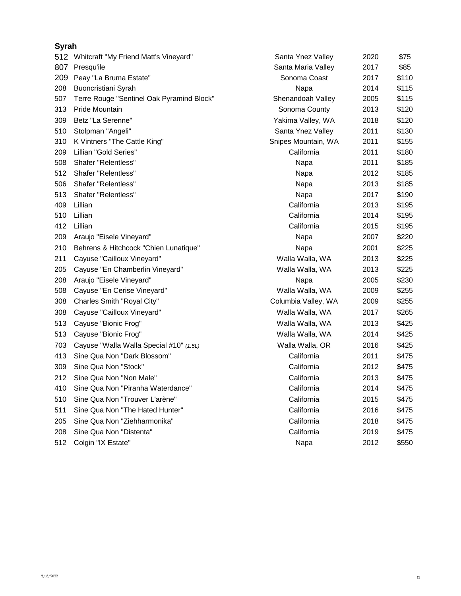#### **Syrah**

|     | 512 Whitcraft "My Friend Matt's Vineyard" | Santa Ynez Valley   | 2020 | \$75  |
|-----|-------------------------------------------|---------------------|------|-------|
| 807 | Presqu'ile                                | Santa Maria Valley  | 2017 | \$85  |
| 209 | Peay "La Bruma Estate"                    | Sonoma Coast        | 2017 | \$110 |
| 208 | Buoncristiani Syrah                       | Napa                | 2014 | \$115 |
| 507 | Terre Rouge "Sentinel Oak Pyramind Block" | Shenandoah Valley   | 2005 | \$115 |
| 313 | <b>Pride Mountain</b>                     | Sonoma County       | 2013 | \$120 |
| 309 | Betz "La Serenne"                         | Yakima Valley, WA   | 2018 | \$120 |
| 510 | Stolpman "Angeli"                         | Santa Ynez Valley   | 2011 | \$130 |
| 310 | K Vintners "The Cattle King"              | Snipes Mountain, WA | 2011 | \$155 |
| 209 | Lillian "Gold Series"                     | California          | 2011 | \$180 |
| 508 | Shafer "Relentless"                       | Napa                | 2011 | \$185 |
| 512 | Shafer "Relentless"                       | Napa                | 2012 | \$185 |
| 506 | Shafer "Relentless"                       | Napa                | 2013 | \$185 |
| 513 | Shafer "Relentless"                       | Napa                | 2017 | \$190 |
| 409 | Lillian                                   | California          | 2013 | \$195 |
| 510 | Lillian                                   | California          | 2014 | \$195 |
| 412 | Lillian                                   | California          | 2015 | \$195 |
| 209 | Araujo "Eisele Vineyard"                  | Napa                | 2007 | \$220 |
| 210 | Behrens & Hitchcock "Chien Lunatique"     | Napa                | 2001 | \$225 |
| 211 | Cayuse "Cailloux Vineyard"                | Walla Walla, WA     | 2013 | \$225 |
| 205 | Cayuse "En Chamberlin Vineyard"           | Walla Walla, WA     | 2013 | \$225 |
| 208 | Araujo "Eisele Vineyard"                  | Napa                | 2005 | \$230 |
| 508 | Cayuse "En Cerise Vineyard"               | Walla Walla, WA     | 2009 | \$255 |
| 308 | Charles Smith "Royal City"                | Columbia Valley, WA | 2009 | \$255 |
| 308 | Cayuse "Cailloux Vineyard"                | Walla Walla, WA     | 2017 | \$265 |
| 513 | Cayuse "Bionic Frog"                      | Walla Walla, WA     | 2013 | \$425 |
| 513 | Cayuse "Bionic Frog"                      | Walla Walla, WA     | 2014 | \$425 |
| 703 | Cayuse "Walla Walla Special #10" (1.5L)   | Walla Walla, OR     | 2016 | \$425 |
| 413 | Sine Qua Non "Dark Blossom"               | California          | 2011 | \$475 |
| 309 | Sine Qua Non "Stock"                      | California          | 2012 | \$475 |
| 212 | Sine Qua Non "Non Male"                   | California          | 2013 | \$475 |
| 410 | Sine Qua Non "Piranha Waterdance"         | California          | 2014 | \$475 |
| 510 | Sine Qua Non "Trouver L'arène"            | California          | 2015 | \$475 |
| 511 | Sine Qua Non "The Hated Hunter"           | California          | 2016 | \$475 |
| 205 | Sine Qua Non "Ziehharmonika"              | California          | 2018 | \$475 |
| 208 | Sine Qua Non "Distenta"                   | California          | 2019 | \$475 |
| 512 | Colgin "IX Estate"                        | Napa                | 2012 | \$550 |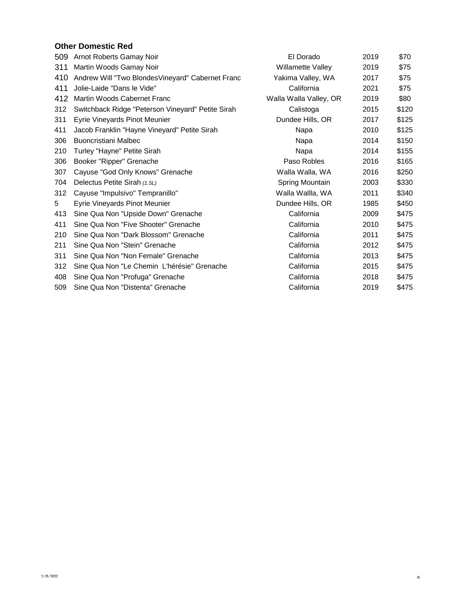# **Other Domestic Red**

| 509 | Arnot Roberts Gamay Noir                          | El Dorado              | 2019 | \$70  |
|-----|---------------------------------------------------|------------------------|------|-------|
| 311 | Martin Woods Gamay Noir                           | Willamette Valley      | 2019 | \$75  |
| 410 | Andrew Will "Two Blondes Vineyard" Cabernet Franc | Yakima Valley, WA      | 2017 | \$75  |
| 411 | Jolie-Laide "Dans le Vide"                        | California             | 2021 | \$75  |
| 412 | Martin Woods Cabernet Franc                       | Walla Walla Valley, OR | 2019 | \$80  |
| 312 | Switchback Ridge "Peterson Vineyard" Petite Sirah | Calistoga              | 2015 | \$120 |
| 311 | Eyrie Vineyards Pinot Meunier                     | Dundee Hills, OR       | 2017 | \$125 |
| 411 | Jacob Franklin "Hayne Vineyard" Petite Sirah      | Napa                   | 2010 | \$125 |
| 306 | Buoncristiani Malbec                              | Napa                   | 2014 | \$150 |
| 210 | Turley "Hayne" Petite Sirah                       | Napa                   | 2014 | \$155 |
| 306 | Booker "Ripper" Grenache                          | Paso Robles            | 2016 | \$165 |
| 307 | Cayuse "God Only Knows" Grenache                  | Walla Walla, WA        | 2016 | \$250 |
| 704 | Delectus Petite Sirah (1.5L)                      | Spring Mountain        | 2003 | \$330 |
| 312 | Cayuse "Impulsivo" Tempranillo"                   | Walla Wallla, WA       | 2011 | \$340 |
| 5   | Eyrie Vineyards Pinot Meunier                     | Dundee Hills, OR       | 1985 | \$450 |
| 413 | Sine Qua Non "Upside Down" Grenache               | California             | 2009 | \$475 |
| 411 | Sine Qua Non "Five Shooter" Grenache              | California             | 2010 | \$475 |
| 210 | Sine Qua Non "Dark Blossom" Grenache              | California             | 2011 | \$475 |
| 211 | Sine Qua Non "Stein" Grenache                     | California             | 2012 | \$475 |
| 311 | Sine Qua Non "Non Female" Grenache                | California             | 2013 | \$475 |
| 312 | Sine Qua Non "Le Chemin L'hérésie" Grenache       | California             | 2015 | \$475 |
| 408 | Sine Qua Non "Profuga" Grenache                   | California             | 2018 | \$475 |
| 509 | Sine Qua Non "Distenta" Grenache                  | California             | 2019 | \$475 |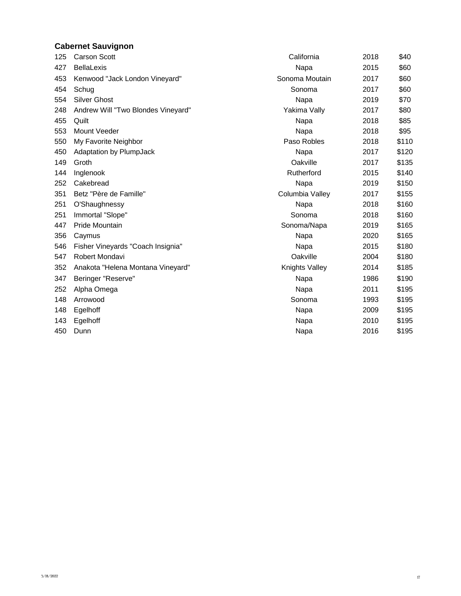## **Cabernet Sauvignon**

| 125 | <b>Carson Scott</b>                | California      | 2018 | \$40  |
|-----|------------------------------------|-----------------|------|-------|
| 427 | <b>BellaLexis</b>                  | Napa            | 2015 | \$60  |
| 453 | Kenwood "Jack London Vineyard"     | Sonoma Moutain  | 2017 | \$60  |
| 454 | Schug                              | Sonoma          | 2017 | \$60  |
| 554 | <b>Silver Ghost</b>                | Napa            | 2019 | \$70  |
| 248 | Andrew Will "Two Blondes Vineyard" | Yakima Vally    | 2017 | \$80  |
| 455 | Quilt                              | Napa            | 2018 | \$85  |
| 553 | <b>Mount Veeder</b>                | Napa            | 2018 | \$95  |
| 550 | My Favorite Neighbor               | Paso Robles     | 2018 | \$110 |
| 450 | <b>Adaptation by PlumpJack</b>     | Napa            | 2017 | \$120 |
| 149 | Groth                              | Oakville        | 2017 | \$135 |
| 144 | Inglenook                          | Rutherford      | 2015 | \$140 |
| 252 | Cakebread                          | Napa            | 2019 | \$150 |
| 351 | Betz "Père de Famille"             | Columbia Valley | 2017 | \$155 |
| 251 | O'Shaughnessy                      | Napa            | 2018 | \$160 |
| 251 | Immortal "Slope"                   | Sonoma          | 2018 | \$160 |
| 447 | <b>Pride Mountain</b>              | Sonoma/Napa     | 2019 | \$165 |
| 356 | Caymus                             | Napa            | 2020 | \$165 |
| 546 | Fisher Vineyards "Coach Insignia"  | Napa            | 2015 | \$180 |
| 547 | Robert Mondavi                     | Oakville        | 2004 | \$180 |
| 352 | Anakota "Helena Montana Vineyard"  | Knights Valley  | 2014 | \$185 |
| 347 | Beringer "Reserve"                 | Napa            | 1986 | \$190 |
| 252 | Alpha Omega                        | Napa            | 2011 | \$195 |
| 148 | Arrowood                           | Sonoma          | 1993 | \$195 |
| 148 | Egelhoff                           | Napa            | 2009 | \$195 |
| 143 | Egelhoff                           | Napa            | 2010 | \$195 |
| 450 | Dunn                               | Napa            | 2016 | \$195 |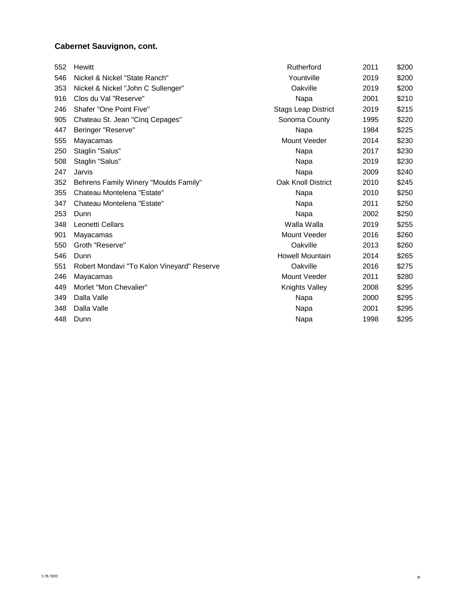| 552 | Hewitt                                     | Rutherford                 | 2011 | \$200 |
|-----|--------------------------------------------|----------------------------|------|-------|
| 546 | Nickel & Nickel "State Ranch"              | Yountville                 | 2019 | \$200 |
| 353 | Nickel & Nickel "John C Sullenger"         | Oakville                   | 2019 | \$200 |
| 916 | Clos du Val "Reserve"                      | Napa                       | 2001 | \$210 |
| 246 | Shafer "One Point Five"                    | <b>Stags Leap District</b> | 2019 | \$215 |
| 905 | Chateau St. Jean "Cing Cepages"            | Sonoma County              | 1995 | \$220 |
| 447 | Beringer "Reserve"                         | Napa                       | 1984 | \$225 |
| 555 | Mayacamas                                  | Mount Veeder               | 2014 | \$230 |
| 250 | Staglin "Salus"                            | Napa                       | 2017 | \$230 |
| 508 | Staglin "Salus"                            | Napa                       | 2019 | \$230 |
| 247 | Jarvis                                     | Napa                       | 2009 | \$240 |
| 352 | Behrens Family Winery "Moulds Family"      | Oak Knoll District         | 2010 | \$245 |
| 355 | Chateau Montelena "Estate"                 | Napa                       | 2010 | \$250 |
| 347 | Chateau Montelena "Estate"                 | Napa                       | 2011 | \$250 |
| 253 | Dunn                                       | Napa                       | 2002 | \$250 |
| 348 | Leonetti Cellars                           | Walla Walla                | 2019 | \$255 |
| 901 | Mayacamas                                  | Mount Veeder               | 2016 | \$260 |
| 550 | Groth "Reserve"                            | Oakville                   | 2013 | \$260 |
| 546 | Dunn                                       | Howell Mountain            | 2014 | \$265 |
| 551 | Robert Mondavi "To Kalon Vineyard" Reserve | Oakville                   | 2016 | \$275 |
| 246 | Mayacamas                                  | Mount Veeder               | 2011 | \$280 |
| 449 | Morlet "Mon Chevalier"                     | Knights Valley             | 2008 | \$295 |
| 349 | Dalla Valle                                | Napa                       | 2000 | \$295 |
| 348 | Dalla Valle                                | Napa                       | 2001 | \$295 |
| 448 | Dunn                                       | Napa                       | 1998 | \$295 |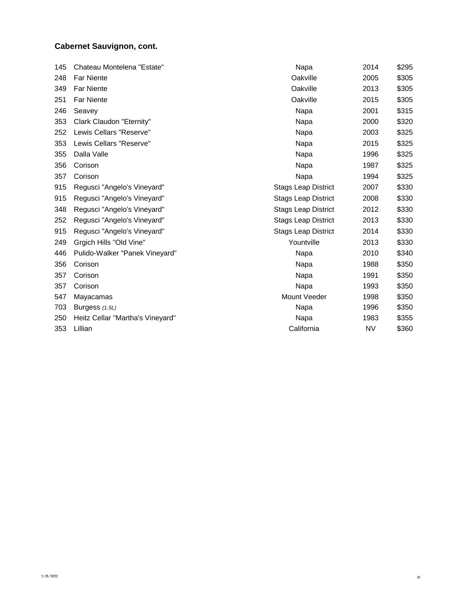| 145 | Chateau Montelena "Estate"       | Napa                       | 2014      | \$295 |
|-----|----------------------------------|----------------------------|-----------|-------|
| 248 | <b>Far Niente</b>                | Oakville                   | 2005      | \$305 |
| 349 | <b>Far Niente</b>                | Oakville                   | 2013      | \$305 |
| 251 | <b>Far Niente</b>                | Oakville                   | 2015      | \$305 |
| 246 | Seavey                           | Napa                       | 2001      | \$315 |
| 353 | Clark Claudon "Eternity"         | Napa                       | 2000      | \$320 |
| 252 | Lewis Cellars "Reserve"          | Napa                       | 2003      | \$325 |
| 353 | Lewis Cellars "Reserve"          | Napa                       | 2015      | \$325 |
| 355 | Dalla Valle                      | Napa                       | 1996      | \$325 |
| 356 | Corison                          | Napa                       | 1987      | \$325 |
| 357 | Corison                          | Napa                       | 1994      | \$325 |
| 915 | Regusci "Angelo's Vineyard"      | <b>Stags Leap District</b> | 2007      | \$330 |
| 915 | Regusci "Angelo's Vineyard"      | <b>Stags Leap District</b> | 2008      | \$330 |
| 348 | Regusci "Angelo's Vineyard"      | <b>Stags Leap District</b> | 2012      | \$330 |
| 252 | Regusci "Angelo's Vineyard"      | <b>Stags Leap District</b> | 2013      | \$330 |
| 915 | Regusci "Angelo's Vineyard"      | <b>Stags Leap District</b> | 2014      | \$330 |
| 249 | Grgich Hills "Old Vine"          | Yountville                 | 2013      | \$330 |
| 446 | Pulido-Walker "Panek Vineyard"   | Napa                       | 2010      | \$340 |
| 356 | Corison                          | Napa                       | 1988      | \$350 |
| 357 | Corison                          | Napa                       | 1991      | \$350 |
| 357 | Corison                          | Napa                       | 1993      | \$350 |
| 547 | Mayacamas                        | Mount Veeder               | 1998      | \$350 |
| 703 | Burgess $(1.5L)$                 | Napa                       | 1996      | \$350 |
| 250 | Heitz Cellar "Martha's Vineyard" | Napa                       | 1983      | \$355 |
| 353 | Lillian                          | California                 | <b>NV</b> | \$360 |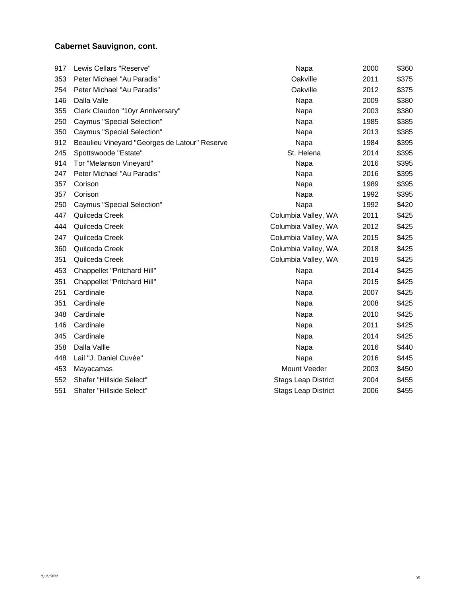| 917 | Lewis Cellars "Reserve"                       | Napa                       | 2000 | \$360 |
|-----|-----------------------------------------------|----------------------------|------|-------|
| 353 | Peter Michael "Au Paradis"                    | Oakville                   | 2011 | \$375 |
| 254 | Peter Michael "Au Paradis"                    | Oakville                   | 2012 | \$375 |
| 146 | Dalla Valle                                   | Napa                       | 2009 | \$380 |
| 355 | Clark Claudon "10yr Anniversary"              | Napa                       | 2003 | \$380 |
| 250 | <b>Caymus "Special Selection"</b>             | Napa                       | 1985 | \$385 |
| 350 | Caymus "Special Selection"                    | Napa                       | 2013 | \$385 |
| 912 | Beaulieu Vineyard "Georges de Latour" Reserve | Napa                       | 1984 | \$395 |
| 245 | Spottswoode "Estate"                          | St. Helena                 | 2014 | \$395 |
| 914 | Tor "Melanson Vineyard"                       | Napa                       | 2016 | \$395 |
| 247 | Peter Michael "Au Paradis"                    | Napa                       | 2016 | \$395 |
| 357 | Corison                                       | Napa                       | 1989 | \$395 |
| 357 | Corison                                       | Napa                       | 1992 | \$395 |
| 250 | Caymus "Special Selection"                    | Napa                       | 1992 | \$420 |
| 447 | Quilceda Creek                                | Columbia Valley, WA        | 2011 | \$425 |
| 444 | Quilceda Creek                                | Columbia Valley, WA        | 2012 | \$425 |
| 247 | Quilceda Creek                                | Columbia Valley, WA        | 2015 | \$425 |
| 360 | Quilceda Creek                                | Columbia Valley, WA        | 2018 | \$425 |
| 351 | Quilceda Creek                                | Columbia Valley, WA        | 2019 | \$425 |
| 453 | Chappellet "Pritchard Hill"                   | Napa                       | 2014 | \$425 |
| 351 | Chappellet "Pritchard Hill"                   | Napa                       | 2015 | \$425 |
| 251 | Cardinale                                     | Napa                       | 2007 | \$425 |
| 351 | Cardinale                                     | Napa                       | 2008 | \$425 |
| 348 | Cardinale                                     | Napa                       | 2010 | \$425 |
| 146 | Cardinale                                     | Napa                       | 2011 | \$425 |
| 345 | Cardinale                                     | Napa                       | 2014 | \$425 |
| 358 | Dalla Vallle                                  | Napa                       | 2016 | \$440 |
| 448 | Lail "J. Daniel Cuvée"                        | Napa                       | 2016 | \$445 |
| 453 | Mayacamas                                     | Mount Veeder               | 2003 | \$450 |
| 552 | Shafer "Hillside Select"                      | <b>Stags Leap District</b> | 2004 | \$455 |
| 551 | Shafer "Hillside Select"                      | <b>Stags Leap District</b> | 2006 | \$455 |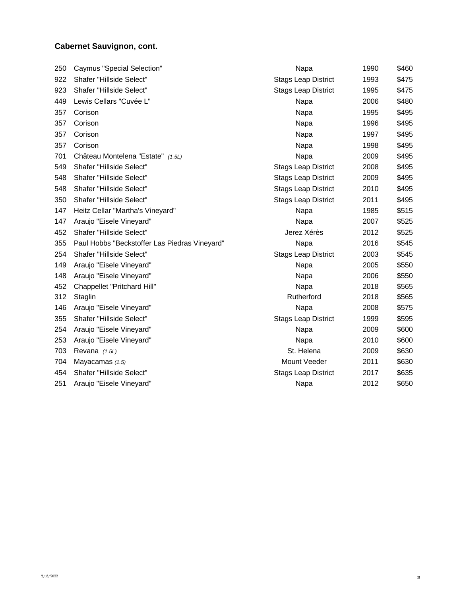| 250 | <b>Caymus "Special Selection"</b>             | Napa                       | 1990 | \$460 |
|-----|-----------------------------------------------|----------------------------|------|-------|
| 922 | Shafer "Hillside Select"                      | <b>Stags Leap District</b> | 1993 | \$475 |
| 923 | Shafer "Hillside Select"                      | <b>Stags Leap District</b> | 1995 | \$475 |
| 449 | Lewis Cellars "Cuvée L"                       | Napa                       | 2006 | \$480 |
| 357 | Corison                                       | Napa                       | 1995 | \$495 |
| 357 | Corison                                       | Napa                       | 1996 | \$495 |
| 357 | Corison                                       | Napa                       | 1997 | \$495 |
| 357 | Corison                                       | Napa                       | 1998 | \$495 |
| 701 | Château Montelena "Estate" (1.5L)             | Napa                       | 2009 | \$495 |
| 549 | Shafer "Hillside Select"                      | <b>Stags Leap District</b> | 2008 | \$495 |
| 548 | Shafer "Hillside Select"                      | <b>Stags Leap District</b> | 2009 | \$495 |
| 548 | Shafer "Hillside Select"                      | <b>Stags Leap District</b> | 2010 | \$495 |
| 350 | Shafer "Hillside Select"                      | <b>Stags Leap District</b> | 2011 | \$495 |
| 147 | Heitz Cellar "Martha's Vineyard"              | Napa                       | 1985 | \$515 |
| 147 | Araujo "Eisele Vineyard"                      | Napa                       | 2007 | \$525 |
| 452 | Shafer "Hillside Select"                      | Jerez Xérès                | 2012 | \$525 |
| 355 | Paul Hobbs "Beckstoffer Las Piedras Vineyard" | Napa                       | 2016 | \$545 |
| 254 | Shafer "Hillside Select"                      | <b>Stags Leap District</b> | 2003 | \$545 |
| 149 | Araujo "Eisele Vineyard"                      | Napa                       | 2005 | \$550 |
| 148 | Araujo "Eisele Vineyard"                      | Napa                       | 2006 | \$550 |
| 452 | Chappellet "Pritchard Hill"                   | Napa                       | 2018 | \$565 |
| 312 | Staglin                                       | Rutherford                 | 2018 | \$565 |
| 146 | Araujo "Eisele Vineyard"                      | Napa                       | 2008 | \$575 |
| 355 | Shafer "Hillside Select"                      | <b>Stags Leap District</b> | 1999 | \$595 |
| 254 | Araujo "Eisele Vineyard"                      | Napa                       | 2009 | \$600 |
| 253 | Araujo "Eisele Vineyard"                      | Napa                       | 2010 | \$600 |
| 703 | Revana (1.5L)                                 | St. Helena                 | 2009 | \$630 |
| 704 | Mayacamas $(1.5)$                             | Mount Veeder               | 2011 | \$630 |
| 454 | Shafer "Hillside Select"                      | <b>Stags Leap District</b> | 2017 | \$635 |
| 251 | Araujo "Eisele Vineyard"                      | Napa                       | 2012 | \$650 |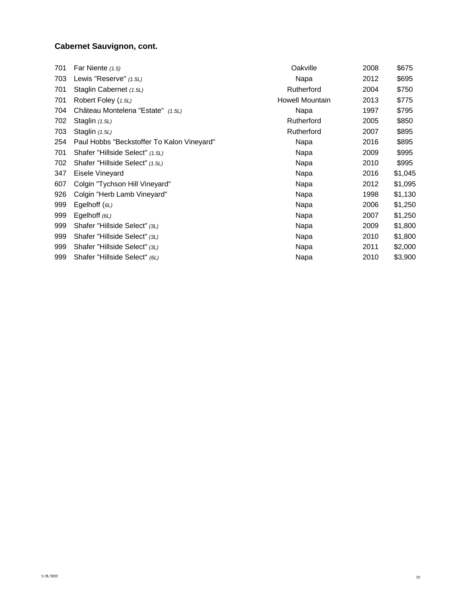| 701 | Far Niente $(1.5)$                         | Oakville        | 2008 | \$675   |
|-----|--------------------------------------------|-----------------|------|---------|
| 703 | Lewis "Reserve" (1.5L)                     | Napa            | 2012 | \$695   |
| 701 | Staglin Cabernet (1.5L)                    | Rutherford      | 2004 | \$750   |
| 701 | Robert Foley (1.5L)                        | Howell Mountain | 2013 | \$775   |
| 704 | Château Montelena "Estate" (1.5L)          | Napa            | 1997 | \$795   |
| 702 | Staglin (1.5L)                             | Rutherford      | 2005 | \$850   |
| 703 | Staglin (1.5L)                             | Rutherford      | 2007 | \$895   |
| 254 | Paul Hobbs "Beckstoffer To Kalon Vineyard" | Napa            | 2016 | \$895   |
| 701 | Shafer "Hillside Select" (1.5L)            | Napa            | 2009 | \$995   |
| 702 | Shafer "Hillside Select" (1.5L)            | Napa            | 2010 | \$995   |
| 347 | Eisele Vineyard                            | Napa            | 2016 | \$1,045 |
| 607 | Colgin "Tychson Hill Vineyard"             | Napa            | 2012 | \$1,095 |
| 926 | Colgin "Herb Lamb Vineyard"                | Napa            | 1998 | \$1,130 |
| 999 | Egelhoff $(6L)$                            | Napa            | 2006 | \$1,250 |
| 999 | Egelhoff $(6L)$                            | Napa            | 2007 | \$1,250 |
| 999 | Shafer "Hillside Select" (3L)              | Napa            | 2009 | \$1,800 |
| 999 | Shafer "Hillside Select" (3L)              | Napa            | 2010 | \$1,800 |
| 999 | Shafer "Hillside Select" (3L)              | Napa            | 2011 | \$2,000 |
| 999 | Shafer "Hillside Select" (6L)              | Napa            | 2010 | \$3,900 |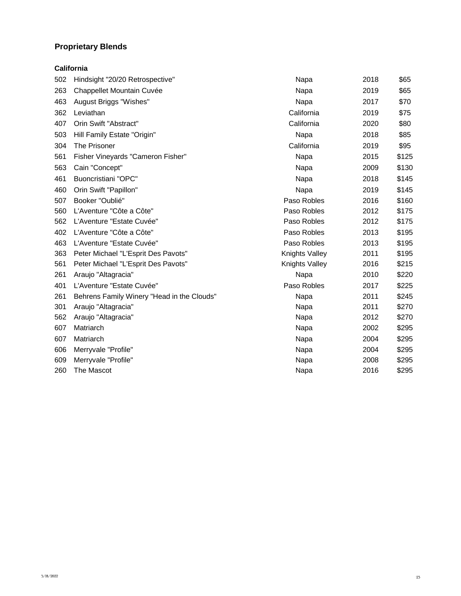## **Proprietary Blends**

### **California**

| 502 | Hindsight "20/20 Retrospective"            | Napa           | 2018 | \$65  |
|-----|--------------------------------------------|----------------|------|-------|
| 263 | Chappellet Mountain Cuvée                  | Napa           | 2019 | \$65  |
| 463 | August Briggs "Wishes"                     | Napa           | 2017 | \$70  |
| 362 | Leviathan                                  | California     | 2019 | \$75  |
| 407 | Orin Swift "Abstract"                      | California     | 2020 | \$80  |
| 503 | Hill Family Estate "Origin"                | Napa           | 2018 | \$85  |
| 304 | The Prisoner                               | California     | 2019 | \$95  |
| 561 | Fisher Vineyards "Cameron Fisher"          | Napa           | 2015 | \$125 |
| 563 | Cain "Concept"                             | Napa           | 2009 | \$130 |
| 461 | <b>Buoncristiani "OPC"</b>                 | Napa           | 2018 | \$145 |
| 460 | Orin Swift "Papillon"                      | Napa           | 2019 | \$145 |
| 507 | Booker "Oublié"                            | Paso Robles    | 2016 | \$160 |
| 560 | L'Aventure "Côte a Côte"                   | Paso Robles    | 2012 | \$175 |
| 562 | L'Aventure "Estate Cuvée"                  | Paso Robles    | 2012 | \$175 |
| 402 | L'Aventure "Côte a Côte"                   | Paso Robles    | 2013 | \$195 |
| 463 | L'Aventure "Estate Cuvée"                  | Paso Robles    | 2013 | \$195 |
| 363 | Peter Michael "L'Esprit Des Pavots"        | Knights Valley | 2011 | \$195 |
| 561 | Peter Michael "L'Esprit Des Pavots"        | Knights Valley | 2016 | \$215 |
| 261 | Araujo "Altagracia"                        | Napa           | 2010 | \$220 |
| 401 | L'Aventure "Estate Cuvée"                  | Paso Robles    | 2017 | \$225 |
| 261 | Behrens Family Winery "Head in the Clouds" | Napa           | 2011 | \$245 |
| 301 | Araujo "Altagracia"                        | Napa           | 2011 | \$270 |
| 562 | Araujo "Altagracia"                        | Napa           | 2012 | \$270 |
| 607 | Matriarch                                  | Napa           | 2002 | \$295 |
| 607 | Matriarch                                  | Napa           | 2004 | \$295 |
| 606 | Merryvale "Profile"                        | Napa           | 2004 | \$295 |
| 609 | Merryvale "Profile"                        | Napa           | 2008 | \$295 |
| 260 | The Mascot                                 | Napa           | 2016 | \$295 |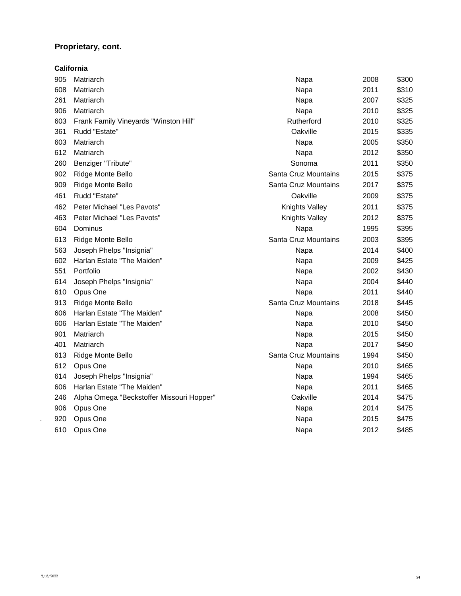## **Proprietary, cont.**

|     | California                                |                      |      |       |
|-----|-------------------------------------------|----------------------|------|-------|
| 905 | Matriarch                                 | Napa                 | 2008 | \$300 |
| 608 | Matriarch                                 | Napa                 | 2011 | \$310 |
| 261 | Matriarch                                 | Napa                 | 2007 | \$325 |
| 906 | Matriarch                                 | Napa                 | 2010 | \$325 |
| 603 | Frank Family Vineyards "Winston Hill"     | Rutherford           | 2010 | \$325 |
| 361 | Rudd "Estate"                             | Oakville             | 2015 | \$335 |
| 603 | Matriarch                                 | Napa                 | 2005 | \$350 |
| 612 | Matriarch                                 | Napa                 | 2012 | \$350 |
| 260 | Benziger "Tribute"                        | Sonoma               | 2011 | \$350 |
| 902 | Ridge Monte Bello                         | Santa Cruz Mountains | 2015 | \$375 |
| 909 | Ridge Monte Bello                         | Santa Cruz Mountains | 2017 | \$375 |
| 461 | Rudd "Estate"                             | Oakville             | 2009 | \$375 |
| 462 | Peter Michael "Les Pavots"                | Knights Valley       | 2011 | \$375 |
| 463 | Peter Michael "Les Pavots"                | Knights Valley       | 2012 | \$375 |
| 604 | Dominus                                   | Napa                 | 1995 | \$395 |
| 613 | Ridge Monte Bello                         | Santa Cruz Mountains | 2003 | \$395 |
| 563 | Joseph Phelps "Insignia"                  | Napa                 | 2014 | \$400 |
| 602 | Harlan Estate "The Maiden"                | Napa                 | 2009 | \$425 |
| 551 | Portfolio                                 | Napa                 | 2002 | \$430 |
| 614 | Joseph Phelps "Insignia"                  | Napa                 | 2004 | \$440 |
| 610 | Opus One                                  | Napa                 | 2011 | \$440 |
| 913 | Ridge Monte Bello                         | Santa Cruz Mountains | 2018 | \$445 |
| 606 | Harlan Estate "The Maiden"                | Napa                 | 2008 | \$450 |
| 606 | Harlan Estate "The Maiden"                | Napa                 | 2010 | \$450 |
| 901 | Matriarch                                 | Napa                 | 2015 | \$450 |
| 401 | Matriarch                                 | Napa                 | 2017 | \$450 |
| 613 | Ridge Monte Bello                         | Santa Cruz Mountains | 1994 | \$450 |
| 612 | Opus One                                  | Napa                 | 2010 | \$465 |
| 614 | Joseph Phelps "Insignia"                  | Napa                 | 1994 | \$465 |
| 606 | Harlan Estate "The Maiden"                | Napa                 | 2011 | \$465 |
| 246 | Alpha Omega "Beckstoffer Missouri Hopper" | Oakville             | 2014 | \$475 |
| 906 | Opus One                                  | Napa                 | 2014 | \$475 |
| 920 | Opus One                                  | Napa                 | 2015 | \$475 |
| 610 | Opus One                                  | Napa                 | 2012 | \$485 |
|     |                                           |                      |      |       |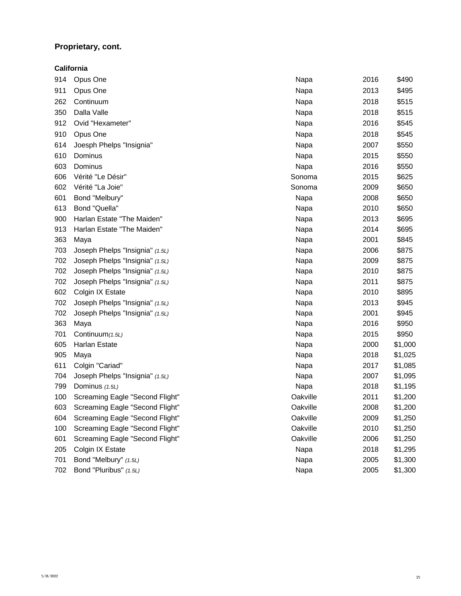## **Proprietary, cont.**

|     | California                      |          |      |         |
|-----|---------------------------------|----------|------|---------|
| 914 | Opus One                        | Napa     | 2016 | \$490   |
| 911 | Opus One                        | Napa     | 2013 | \$495   |
| 262 | Continuum                       | Napa     | 2018 | \$515   |
| 350 | Dalla Valle                     | Napa     | 2018 | \$515   |
| 912 | Ovid "Hexameter"                | Napa     | 2016 | \$545   |
| 910 | Opus One                        | Napa     | 2018 | \$545   |
| 614 | Joesph Phelps "Insignia"        | Napa     | 2007 | \$550   |
| 610 | Dominus                         | Napa     | 2015 | \$550   |
| 603 | Dominus                         | Napa     | 2016 | \$550   |
| 606 | Vérité "Le Désir"               | Sonoma   | 2015 | \$625   |
| 602 | Vérité "La Joie"                | Sonoma   | 2009 | \$650   |
| 601 | Bond "Melbury"                  | Napa     | 2008 | \$650   |
| 613 | Bond "Quella"                   | Napa     | 2010 | \$650   |
| 900 | Harlan Estate "The Maiden"      | Napa     | 2013 | \$695   |
| 913 | Harlan Estate "The Maiden"      | Napa     | 2014 | \$695   |
| 363 | Maya                            | Napa     | 2001 | \$845   |
| 703 | Joseph Phelps "Insignia" (1.5L) | Napa     | 2006 | \$875   |
| 702 | Joseph Phelps "Insignia" (1.5L) | Napa     | 2009 | \$875   |
| 702 | Joseph Phelps "Insignia" (1.5L) | Napa     | 2010 | \$875   |
| 702 | Joseph Phelps "Insignia" (1.5L) | Napa     | 2011 | \$875   |
| 602 | Colgin IX Estate                | Napa     | 2010 | \$895   |
| 702 | Joseph Phelps "Insignia" (1.5L) | Napa     | 2013 | \$945   |
| 702 | Joseph Phelps "Insignia" (1.5L) | Napa     | 2001 | \$945   |
| 363 | Maya                            | Napa     | 2016 | \$950   |
| 701 | Continuum (1.5L)                | Napa     | 2015 | \$950   |
| 605 | Harlan Estate                   | Napa     | 2000 | \$1,000 |
| 905 | Maya                            | Napa     | 2018 | \$1,025 |
| 611 | Colgin "Cariad"                 | Napa     | 2017 | \$1,085 |
| 704 | Joseph Phelps "Insignia" (1.5L) | Napa     | 2007 | \$1,095 |
| 799 | Dominus (1.5L)                  | Napa     | 2018 | \$1,195 |
| 100 | Screaming Eagle "Second Flight" | Oakville | 2011 | \$1,200 |
| 603 | Screaming Eagle "Second Flight" | Oakville | 2008 | \$1,200 |
| 604 | Screaming Eagle "Second Flight" | Oakville | 2009 | \$1,250 |
| 100 | Screaming Eagle "Second Flight" | Oakville | 2010 | \$1,250 |
| 601 | Screaming Eagle "Second Flight" | Oakville | 2006 | \$1,250 |
| 205 | Colgin IX Estate                | Napa     | 2018 | \$1,295 |
| 701 | Bond "Melbury" (1.5L)           | Napa     | 2005 | \$1,300 |
| 702 | Bond "Pluribus" (1.5L)          | Napa     | 2005 | \$1,300 |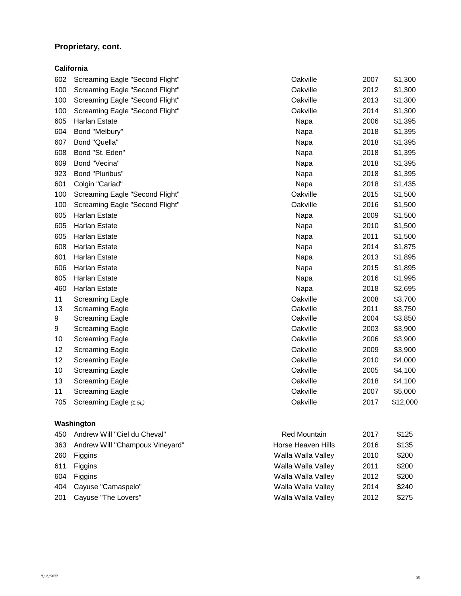## **Proprietary, cont.**

**California**

| 602 | Screaming Eagle "Second Flight" | Oakville | 2007 | \$1,300  |
|-----|---------------------------------|----------|------|----------|
| 100 | Screaming Eagle "Second Flight" | Oakville | 2012 | \$1,300  |
| 100 | Screaming Eagle "Second Flight" | Oakville | 2013 | \$1,300  |
| 100 | Screaming Eagle "Second Flight" | Oakville | 2014 | \$1,300  |
| 605 | Harlan Estate                   | Napa     | 2006 | \$1,395  |
| 604 | Bond "Melbury"                  | Napa     | 2018 | \$1,395  |
| 607 | Bond "Quella"                   | Napa     | 2018 | \$1,395  |
| 608 | Bond "St. Eden"                 | Napa     | 2018 | \$1,395  |
| 609 | Bond "Vecina"                   | Napa     | 2018 | \$1,395  |
| 923 | Bond "Pluribus"                 | Napa     | 2018 | \$1,395  |
| 601 | Colgin "Cariad"                 | Napa     | 2018 | \$1,435  |
| 100 | Screaming Eagle "Second Flight" | Oakville | 2015 | \$1,500  |
| 100 | Screaming Eagle "Second Flight" | Oakville | 2016 | \$1,500  |
| 605 | <b>Harlan Estate</b>            | Napa     | 2009 | \$1,500  |
| 605 | Harlan Estate                   | Napa     | 2010 | \$1,500  |
| 605 | Harlan Estate                   | Napa     | 2011 | \$1,500  |
| 608 | Harlan Estate                   | Napa     | 2014 | \$1,875  |
| 601 | Harlan Estate                   | Napa     | 2013 | \$1,895  |
| 606 | Harlan Estate                   | Napa     | 2015 | \$1,895  |
| 605 | <b>Harlan Estate</b>            | Napa     | 2016 | \$1,995  |
| 460 | Harlan Estate                   | Napa     | 2018 | \$2,695  |
| 11  | <b>Screaming Eagle</b>          | Oakville | 2008 | \$3,700  |
| 13  | <b>Screaming Eagle</b>          | Oakville | 2011 | \$3,750  |
| 9   | <b>Screaming Eagle</b>          | Oakville | 2004 | \$3,850  |
| 9   | <b>Screaming Eagle</b>          | Oakville | 2003 | \$3,900  |
| 10  | <b>Screaming Eagle</b>          | Oakville | 2006 | \$3,900  |
| 12  | <b>Screaming Eagle</b>          | Oakville | 2009 | \$3,900  |
| 12  | <b>Screaming Eagle</b>          | Oakville | 2010 | \$4,000  |
| 10  | <b>Screaming Eagle</b>          | Oakville | 2005 | \$4,100  |
| 13  | <b>Screaming Eagle</b>          | Oakville | 2018 | \$4,100  |
| 11  | <b>Screaming Eagle</b>          | Oakville | 2007 | \$5,000  |
| 705 | Screaming Eagle (1.5L)          | Oakville | 2017 | \$12,000 |
|     |                                 |          |      |          |

## **Washington**

| 450 | Andrew Will "Ciel du Cheval"    | <b>Red Mountain</b> | 2017 | \$125 |
|-----|---------------------------------|---------------------|------|-------|
| 363 | Andrew Will "Champoux Vineyard" | Horse Heaven Hills  | 2016 | \$135 |
| 260 | Figgins                         | Walla Walla Valley  | 2010 | \$200 |
| 611 | Figgins                         | Walla Walla Valley  | 2011 | \$200 |
| 604 | Figgins                         | Walla Walla Valley  | 2012 | \$200 |
|     | 404 Cayuse "Camaspelo"          | Walla Walla Valley  | 2014 | \$240 |
| 201 | Cayuse "The Lovers"             | Walla Walla Valley  | 2012 | \$275 |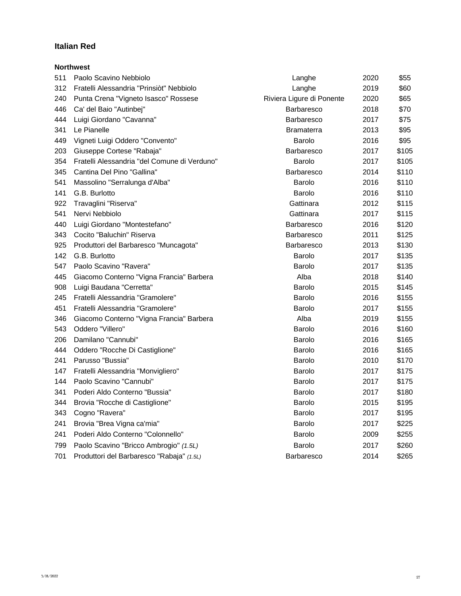#### **Italian Red**

|     | <b>Northwest</b>                             |                           |      |       |
|-----|----------------------------------------------|---------------------------|------|-------|
| 511 | Paolo Scavino Nebbiolo                       | Langhe                    | 2020 | \$55  |
| 312 | Fratelli Alessandria "Prinsiòt" Nebbiolo     | Langhe                    | 2019 | \$60  |
| 240 | Punta Crena "Vigneto Isasco" Rossese         | Riviera Ligure di Ponente | 2020 | \$65  |
| 446 | Ca' del Baio "Autinbej"                      | <b>Barbaresco</b>         | 2018 | \$70  |
| 444 | Luigi Giordano "Cavanna"                     | Barbaresco                | 2017 | \$75  |
| 341 | Le Pianelle                                  | <b>Bramaterra</b>         | 2013 | \$95  |
| 449 | Vigneti Luigi Oddero "Convento"              | Barolo                    | 2016 | \$95  |
| 203 | Giuseppe Cortese "Rabaja"                    | <b>Barbaresco</b>         | 2017 | \$105 |
| 354 | Fratelli Alessandria "del Comune di Verduno" | Barolo                    | 2017 | \$105 |
| 345 | Cantina Del Pino "Gallina"                   | Barbaresco                | 2014 | \$110 |
| 541 | Massolino "Serralunga d'Alba"                | Barolo                    | 2016 | \$110 |
| 141 | G.B. Burlotto                                | Barolo                    | 2016 | \$110 |
| 922 | Travaglini "Riserva"                         | Gattinara                 | 2012 | \$115 |
| 541 | Nervi Nebbiolo                               | Gattinara                 | 2017 | \$115 |
| 440 | Luigi Giordano "Montestefano"                | Barbaresco                | 2016 | \$120 |
| 343 | Cocito "Baluchin" Riserva                    | Barbaresco                | 2011 | \$125 |
| 925 | Produttori del Barbaresco "Muncagota"        | Barbaresco                | 2013 | \$130 |
| 142 | G.B. Burlotto                                | Barolo                    | 2017 | \$135 |
| 547 | Paolo Scavino "Ravera"                       | Barolo                    | 2017 | \$135 |
| 445 | Giacomo Conterno "Vigna Francia" Barbera     | Alba                      | 2018 | \$140 |
| 908 | Luigi Baudana "Cerretta"                     | Barolo                    | 2015 | \$145 |
| 245 | Fratelli Alessandria "Gramolere"             | Barolo                    | 2016 | \$155 |
| 451 | Fratelli Alessandria "Gramolere"             | Barolo                    | 2017 | \$155 |
| 346 | Giacomo Conterno "Vigna Francia" Barbera     | Alba                      | 2019 | \$155 |
| 543 | Oddero "Villero"                             | Barolo                    | 2016 | \$160 |
| 206 | Damilano "Cannubi"                           | Barolo                    | 2016 | \$165 |
| 444 | Oddero "Rocche Di Castiglione"               | Barolo                    | 2016 | \$165 |
| 241 | Parusso "Bussia"                             | Barolo                    | 2010 | \$170 |
| 147 | Fratelli Alessandria "Monvigliero"           | Barolo                    | 2017 | \$175 |
| 144 | Paolo Scavino "Cannubi"                      | Barolo                    | 2017 | \$175 |
| 341 | Poderi Aldo Conterno "Bussia"                | Barolo                    | 2017 | \$180 |
| 344 | Brovia "Rocche di Castiglione"               | Barolo                    | 2015 | \$195 |
| 343 | Cogno "Ravera"                               | Barolo                    | 2017 | \$195 |
| 241 | Brovia "Brea Vigna ca'mia"                   | Barolo                    | 2017 | \$225 |
| 241 | Poderi Aldo Conterno "Colonnello"            | Barolo                    | 2009 | \$255 |
| 799 | Paolo Scavino "Bricco Ambrogio" (1.5L)       | Barolo                    | 2017 | \$260 |
| 701 | Produttori del Barbaresco "Rabaja" (1.5L)    | Barbaresco                | 2014 | \$265 |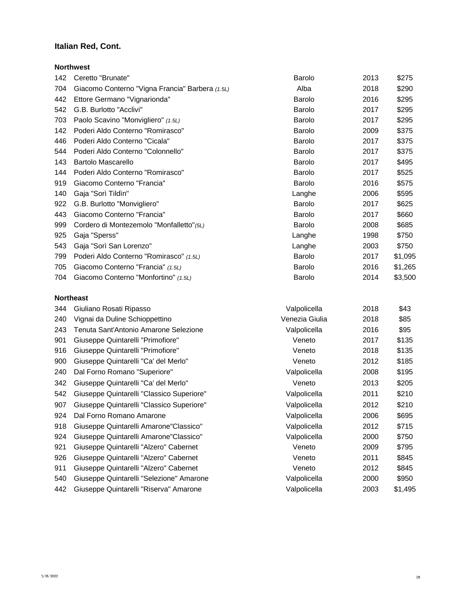#### **Italian Red, Cont.**

|     | <b>Northwest</b>                                |        |      |         |
|-----|-------------------------------------------------|--------|------|---------|
| 142 | Ceretto "Brunate"                               | Barolo | 2013 | \$275   |
| 704 | Giacomo Conterno "Vigna Francia" Barbera (1.5L) | Alba   | 2018 | \$290   |
| 442 | Ettore Germano "Vignarionda"                    | Barolo | 2016 | \$295   |
| 542 | G.B. Burlotto "Acclivi"                         | Barolo | 2017 | \$295   |
| 703 | Paolo Scavino "Monvigliero" (1.5L)              | Barolo | 2017 | \$295   |
| 142 | Poderi Aldo Conterno "Romirasco"                | Barolo | 2009 | \$375   |
| 446 | Poderi Aldo Conterno "Cicala"                   | Barolo | 2017 | \$375   |
| 544 | Poderi Aldo Conterno "Colonnello"               | Barolo | 2017 | \$375   |
| 143 | <b>Bartolo Mascarello</b>                       | Barolo | 2017 | \$495   |
| 144 | Poderi Aldo Conterno "Romirasco"                | Barolo | 2017 | \$525   |
| 919 | Giacomo Conterno "Francia"                      | Barolo | 2016 | \$575   |
| 140 | Gaja "Sorì Tildìn"                              | Langhe | 2006 | \$595   |
| 922 | G.B. Burlotto "Monvigliero"                     | Barolo | 2017 | \$625   |
| 443 | Giacomo Conterno "Francia"                      | Barolo | 2017 | \$660   |
| 999 | Cordero di Montezemolo "Monfalletto" (5L)       | Barolo | 2008 | \$685   |
| 925 | Gaja "Sperss"                                   | Langhe | 1998 | \$750   |
| 543 | Gaja "Sorì San Lorenzo"                         | Langhe | 2003 | \$750   |
| 799 | Poderi Aldo Conterno "Romirasco" (1.5L)         | Barolo | 2017 | \$1,095 |
| 705 | Giacomo Conterno "Francia" (1.5L)               | Barolo | 2016 | \$1,265 |
| 704 | Giacomo Conterno "Monfortino" (1.5L)            | Barolo | 2014 | \$3,500 |
|     |                                                 |        |      |         |

#### **Northeast**

| Giuliano Rosati Ripasso                   | Valpolicella   | 2018 | \$43    |
|-------------------------------------------|----------------|------|---------|
| Vignai da Duline Schioppettino            | Venezia Giulia | 2018 | \$85    |
| Tenuta Sant'Antonio Amarone Selezione     | Valpolicella   | 2016 | \$95    |
| Giuseppe Quintarelli "Primofiore"         | Veneto         | 2017 | \$135   |
| Giuseppe Quintarelli "Primofiore"         | Veneto         | 2018 | \$135   |
| Giuseppe Quintarelli "Ca' del Merlo"      | Veneto         | 2012 | \$185   |
| Dal Forno Romano "Superiore"              | Valpolicella   | 2008 | \$195   |
| Giuseppe Quintarelli "Ca' del Merlo"      | Veneto         | 2013 | \$205   |
| Giuseppe Quintarelli "Classico Superiore" | Valpolicella   | 2011 | \$210   |
| Giuseppe Quintarelli "Classico Superiore" | Valpolicella   | 2012 | \$210   |
| Dal Forno Romano Amarone                  | Valpolicella   | 2006 | \$695   |
| Giuseppe Quintarelli Amarone"Classico"    | Valpolicella   | 2012 | \$715   |
| Giuseppe Quintarelli Amarone"Classico"    | Valpolicella   | 2000 | \$750   |
| Giuseppe Quintarelli "Alzero" Cabernet    | Veneto         | 2009 | \$795   |
| Giuseppe Quintarelli "Alzero" Cabernet    | Veneto         | 2011 | \$845   |
| Giuseppe Quintarelli "Alzero" Cabernet    | Veneto         | 2012 | \$845   |
| Giuseppe Quintarelli "Selezione" Amarone  | Valpolicella   | 2000 | \$950   |
| Giuseppe Quintarelli "Riserva" Amarone    | Valpolicella   | 2003 | \$1,495 |
|                                           |                |      |         |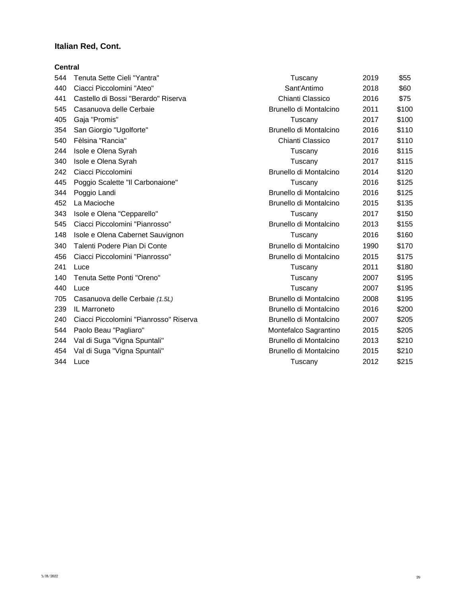#### **Italian Red, Cont.**

#### **Central**

| 544 | Tenuta Sette Cieli "Yantra"            | Tuscany                | 2019 | \$55  |
|-----|----------------------------------------|------------------------|------|-------|
| 440 | Ciacci Piccolomini "Ateo"              | Sant'Antimo            | 2018 | \$60  |
| 441 | Castello di Bossi "Berardo" Riserva    | Chianti Classico       | 2016 | \$75  |
| 545 | Casanuova delle Cerbaie                | Brunello di Montalcino | 2011 | \$100 |
| 405 | Gaja "Promis"                          | Tuscany                | 2017 | \$100 |
| 354 | San Giorgio "Ugolforte"                | Brunello di Montalcino | 2016 | \$110 |
| 540 | Fèlsina "Rancia"                       | Chianti Classico       | 2017 | \$110 |
| 244 | Isole e Olena Syrah                    | Tuscany                | 2016 | \$115 |
| 340 | Isole e Olena Syrah                    | Tuscany                | 2017 | \$115 |
| 242 | Ciacci Piccolomini                     | Brunello di Montalcino | 2014 | \$120 |
| 445 | Poggio Scalette "Il Carbonaione"       | Tuscany                | 2016 | \$125 |
| 344 | Poggio Landi                           | Brunello di Montalcino | 2016 | \$125 |
| 452 | La Macioche                            | Brunello di Montalcino | 2015 | \$135 |
| 343 | Isole e Olena "Cepparello"             | Tuscany                | 2017 | \$150 |
| 545 | Ciacci Piccolomini "Pianrosso"         | Brunello di Montalcino | 2013 | \$155 |
| 148 | Isole e Olena Cabernet Sauvignon       | Tuscany                | 2016 | \$160 |
| 340 | Talenti Podere Pian Di Conte           | Brunello di Montalcino | 1990 | \$170 |
| 456 | Ciacci Piccolomini "Pianrosso"         | Brunello di Montalcino | 2015 | \$175 |
| 241 | Luce                                   | Tuscany                | 2011 | \$180 |
| 140 | Tenuta Sette Ponti "Oreno"             | Tuscany                | 2007 | \$195 |
| 440 | Luce                                   | Tuscany                | 2007 | \$195 |
| 705 | Casanuova delle Cerbaie (1.5L)         | Brunello di Montalcino | 2008 | \$195 |
| 239 | IL Marroneto                           | Brunello di Montalcino | 2016 | \$200 |
| 240 | Ciacci Piccolomini "Pianrosso" Riserva | Brunello di Montalcino | 2007 | \$205 |
| 544 | Paolo Beau "Pagliaro"                  | Montefalco Sagrantino  | 2015 | \$205 |
| 244 | Val di Suga "Vigna Spuntali"           | Brunello di Montalcino | 2013 | \$210 |
| 454 | Val di Suga "Vigna Spuntali"           | Brunello di Montalcino | 2015 | \$210 |
| 344 | Luce                                   | Tuscany                | 2012 | \$215 |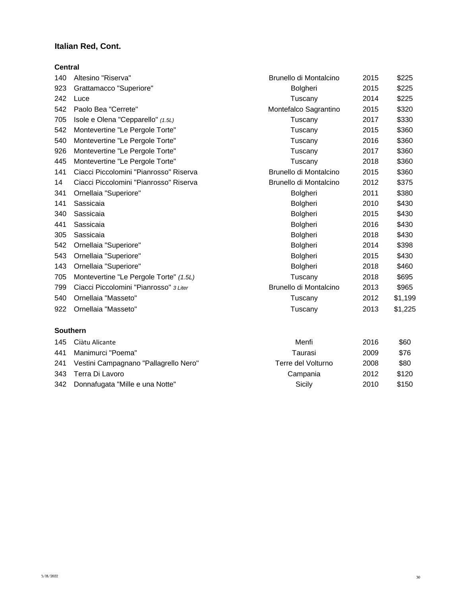#### **Italian Red, Cont.**

#### **Central**

| 140             | Altesino "Riserva"                     | Brunello di Montalcino | 2015 | \$225   |
|-----------------|----------------------------------------|------------------------|------|---------|
| 923             | Grattamacco "Superiore"                | Bolgheri               | 2015 | \$225   |
| 242             | Luce                                   | Tuscany                | 2014 | \$225   |
| 542             | Paolo Bea "Cerrete"                    | Montefalco Sagrantino  | 2015 | \$320   |
| 705             | Isole e Olena "Cepparello" (1.5L)      | Tuscany                | 2017 | \$330   |
| 542             | Montevertine "Le Pergole Torte"        | Tuscany                | 2015 | \$360   |
| 540             | Montevertine "Le Pergole Torte"        | Tuscany                | 2016 | \$360   |
| 926             | Montevertine "Le Pergole Torte"        | Tuscany                | 2017 | \$360   |
| 445             | Montevertine "Le Pergole Torte"        | Tuscany                | 2018 | \$360   |
| 141             | Ciacci Piccolomini "Pianrosso" Riserva | Brunello di Montalcino | 2015 | \$360   |
| 14              | Ciacci Piccolomini "Pianrosso" Riserva | Brunello di Montalcino | 2012 | \$375   |
| 341             | Ornellaia "Superiore"                  | Bolgheri               | 2011 | \$380   |
| 141             | Sassicaia                              | Bolgheri               | 2010 | \$430   |
| 340             | Sassicaia                              | Bolgheri               | 2015 | \$430   |
| 441             | Sassicaia                              | Bolgheri               | 2016 | \$430   |
| 305             | Sassicaia                              | Bolgheri               | 2018 | \$430   |
| 542             | Ornellaia "Superiore"                  | Bolgheri               | 2014 | \$398   |
| 543             | Ornellaia "Superiore"                  | Bolgheri               | 2015 | \$430   |
| 143             | Ornellaia "Superiore"                  | Bolgheri               | 2018 | \$460   |
| 705             | Montevertine "Le Pergole Torte" (1.5L) | Tuscany                | 2018 | \$695   |
| 799             | Ciacci Piccolomini "Pianrosso" 3 Liter | Brunello di Montalcino | 2013 | \$965   |
| 540             | Ornellaia "Masseto"                    | Tuscany                | 2012 | \$1,199 |
| 922             | Ornellaia "Masseto"                    | Tuscany                | 2013 | \$1,225 |
| <b>Southern</b> |                                        |                        |      |         |
| 145             | Ciàtu Alicante                         | Menfi                  | 2016 | \$60    |
| 441             | Manimurci "Poema"                      | Taurasi                | 2009 | \$76    |

| 241 Vestini Campagnano "Pallagrello Nero" | Terre del Volturno | 2008 | \$80  |
|-------------------------------------------|--------------------|------|-------|
| 343 Terra Di Lavoro                       | Campania           | 2012 | \$120 |
| 342 Donnafugata "Mille e una Notte"       | Sicily             | 2010 | \$150 |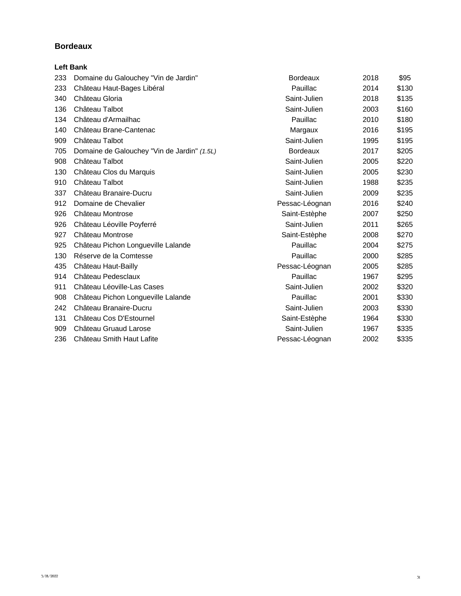|     | <b>Left Bank</b>                            |                 |      |       |
|-----|---------------------------------------------|-----------------|------|-------|
| 233 | Domaine du Galouchey "Vin de Jardin"        | <b>Bordeaux</b> | 2018 | \$95  |
| 233 | Château Haut-Bages Libéral                  | Pauillac        | 2014 | \$130 |
| 340 | Château Gloria                              | Saint-Julien    | 2018 | \$135 |
| 136 | Château Talbot                              | Saint-Julien    | 2003 | \$160 |
| 134 | Château d'Armailhac                         | Pauillac        | 2010 | \$180 |
| 140 | Château Brane-Cantenac                      | Margaux         | 2016 | \$195 |
| 909 | Château Talbot                              | Saint-Julien    | 1995 | \$195 |
| 705 | Domaine de Galouchey "Vin de Jardin" (1.5L) | <b>Bordeaux</b> | 2017 | \$205 |
| 908 | Château Talbot                              | Saint-Julien    | 2005 | \$220 |
| 130 | Château Clos du Marquis                     | Saint-Julien    | 2005 | \$230 |
| 910 | Château Talbot                              | Saint-Julien    | 1988 | \$235 |
| 337 | Château Branaire-Ducru                      | Saint-Julien    | 2009 | \$235 |
| 912 | Domaine de Chevalier                        | Pessac-Léognan  | 2016 | \$240 |
| 926 | Château Montrose                            | Saint-Estèphe   | 2007 | \$250 |
| 926 | Château Léoville Poyferré                   | Saint-Julien    | 2011 | \$265 |
| 927 | Château Montrose                            | Saint-Estèphe   | 2008 | \$270 |
| 925 | Château Pichon Longueville Lalande          | Pauillac        | 2004 | \$275 |
| 130 | Réserve de la Comtesse                      | Pauillac        | 2000 | \$285 |
| 435 | Château Haut-Bailly                         | Pessac-Léognan  | 2005 | \$285 |
| 914 | Château Pedesclaux                          | Pauillac        | 1967 | \$295 |
| 911 | Château Léoville-Las Cases                  | Saint-Julien    | 2002 | \$320 |
| 908 | Château Pichon Longueville Lalande          | Pauillac        | 2001 | \$330 |
| 242 | Château Branaire-Ducru                      | Saint-Julien    | 2003 | \$330 |
| 131 | Château Cos D'Estournel                     | Saint-Estèphe   | 1964 | \$330 |
| 909 | Château Gruaud Larose                       | Saint-Julien    | 1967 | \$335 |
| 236 | Château Smith Haut Lafite                   | Pessac-Léognan  | 2002 | \$335 |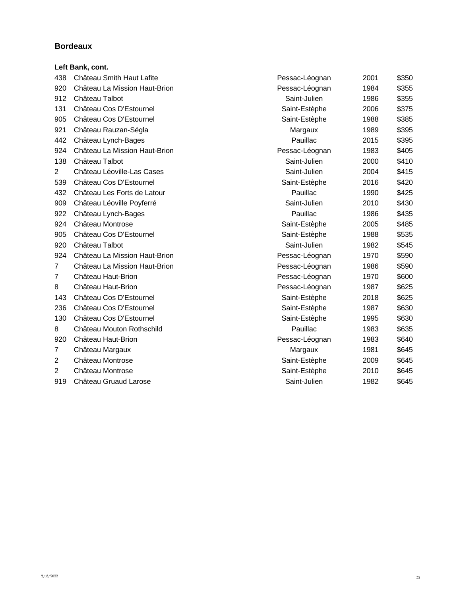|                | Left Bank, cont.              |                |      |       |
|----------------|-------------------------------|----------------|------|-------|
| 438            | Château Smith Haut Lafite     | Pessac-Léognan | 2001 | \$350 |
| 920            | Château La Mission Haut-Brion | Pessac-Léognan | 1984 | \$355 |
| 912            | Château Talbot                | Saint-Julien   | 1986 | \$355 |
| 131            | Château Cos D'Estournel       | Saint-Estèphe  | 2006 | \$375 |
| 905            | Château Cos D'Estournel       | Saint-Estèphe  | 1988 | \$385 |
| 921            | Château Rauzan-Ségla          | Margaux        | 1989 | \$395 |
| 442            | Château Lynch-Bages           | Pauillac       | 2015 | \$395 |
| 924            | Château La Mission Haut-Brion | Pessac-Léognan | 1983 | \$405 |
| 138            | Château Talbot                | Saint-Julien   | 2000 | \$410 |
| $\overline{2}$ | Château Léoville-Las Cases    | Saint-Julien   | 2004 | \$415 |
| 539            | Château Cos D'Estournel       | Saint-Estèphe  | 2016 | \$420 |
| 432            | Château Les Forts de Latour   | Pauillac       | 1990 | \$425 |
| 909            | Château Léoville Poyferré     | Saint-Julien   | 2010 | \$430 |
| 922            | Château Lynch-Bages           | Pauillac       | 1986 | \$435 |
| 924            | Château Montrose              | Saint-Estèphe  | 2005 | \$485 |
| 905            | Château Cos D'Estournel       | Saint-Estèphe  | 1988 | \$535 |
| 920            | Château Talbot                | Saint-Julien   | 1982 | \$545 |
| 924            | Château La Mission Haut-Brion | Pessac-Léognan | 1970 | \$590 |
| $\overline{7}$ | Château La Mission Haut-Brion | Pessac-Léognan | 1986 | \$590 |
| 7              | Château Haut-Brion            | Pessac-Léognan | 1970 | \$600 |
| 8              | Château Haut-Brion            | Pessac-Léognan | 1987 | \$625 |
| 143            | Château Cos D'Estournel       | Saint-Estèphe  | 2018 | \$625 |
| 236            | Château Cos D'Estournel       | Saint-Estèphe  | 1987 | \$630 |
| 130            | Château Cos D'Estournel       | Saint-Estèphe  | 1995 | \$630 |
| 8              | Château Mouton Rothschild     | Pauillac       | 1983 | \$635 |
| 920            | Château Haut-Brion            | Pessac-Léognan | 1983 | \$640 |
| 7              | Château Margaux               | Margaux        | 1981 | \$645 |
| $\overline{2}$ | Château Montrose              | Saint-Estèphe  | 2009 | \$645 |
| 2              | Château Montrose              | Saint-Estèphe  | 2010 | \$645 |
| 919            | Château Gruaud Larose         | Saint-Julien   | 1982 | \$645 |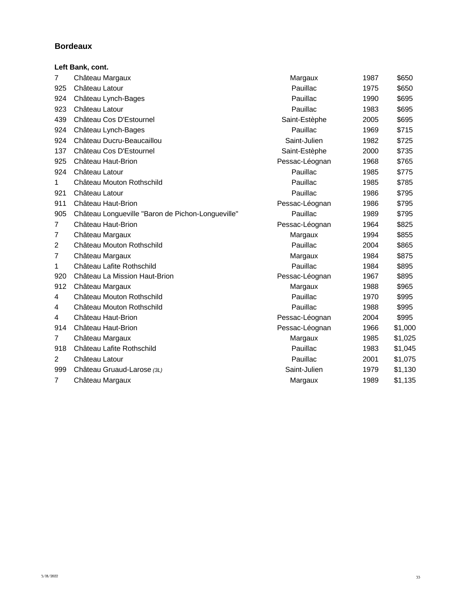|                | Left Bank, cont.                                  |                |      |         |
|----------------|---------------------------------------------------|----------------|------|---------|
| $\overline{7}$ | Château Margaux                                   | Margaux        | 1987 | \$650   |
| 925            | Château Latour                                    | Pauillac       | 1975 | \$650   |
| 924            | Château Lynch-Bages                               | Pauillac       | 1990 | \$695   |
| 923            | Château Latour                                    | Pauillac       | 1983 | \$695   |
| 439            | Château Cos D'Estournel                           | Saint-Estèphe  | 2005 | \$695   |
| 924            | Château Lynch-Bages                               | Pauillac       | 1969 | \$715   |
| 924            | Château Ducru-Beaucaillou                         | Saint-Julien   | 1982 | \$725   |
| 137            | Château Cos D'Estournel                           | Saint-Estèphe  | 2000 | \$735   |
| 925            | Château Haut-Brion                                | Pessac-Léognan | 1968 | \$765   |
| 924            | Château Latour                                    | Pauillac       | 1985 | \$775   |
| 1              | Château Mouton Rothschild                         | Pauillac       | 1985 | \$785   |
| 921            | Château Latour                                    | Pauillac       | 1986 | \$795   |
| 911            | Château Haut-Brion                                | Pessac-Léognan | 1986 | \$795   |
| 905            | Château Longueville "Baron de Pichon-Longueville" | Pauillac       | 1989 | \$795   |
| 7              | Château Haut-Brion                                | Pessac-Léognan | 1964 | \$825   |
| 7              | Château Margaux                                   | Margaux        | 1994 | \$855   |
| 2              | Château Mouton Rothschild                         | Pauillac       | 2004 | \$865   |
| 7              | Château Margaux                                   | Margaux        | 1984 | \$875   |
| 1              | Château Lafite Rothschild                         | Pauillac       | 1984 | \$895   |
| 920            | Château La Mission Haut-Brion                     | Pessac-Léognan | 1967 | \$895   |
| 912            | Château Margaux                                   | Margaux        | 1988 | \$965   |
| 4              | Château Mouton Rothschild                         | Pauillac       | 1970 | \$995   |
| 4              | Château Mouton Rothschild                         | Pauillac       | 1988 | \$995   |
| 4              | Château Haut-Brion                                | Pessac-Léognan | 2004 | \$995   |
| 914            | Château Haut-Brion                                | Pessac-Léognan | 1966 | \$1,000 |
| $\overline{7}$ | Château Margaux                                   | Margaux        | 1985 | \$1,025 |
| 918            | Château Lafite Rothschild                         | Pauillac       | 1983 | \$1,045 |
| 2              | Château Latour                                    | Pauillac       | 2001 | \$1,075 |
| 999            | Château Gruaud-Larose (3L)                        | Saint-Julien   | 1979 | \$1,130 |
| 7              | Château Margaux                                   | Margaux        | 1989 | \$1,135 |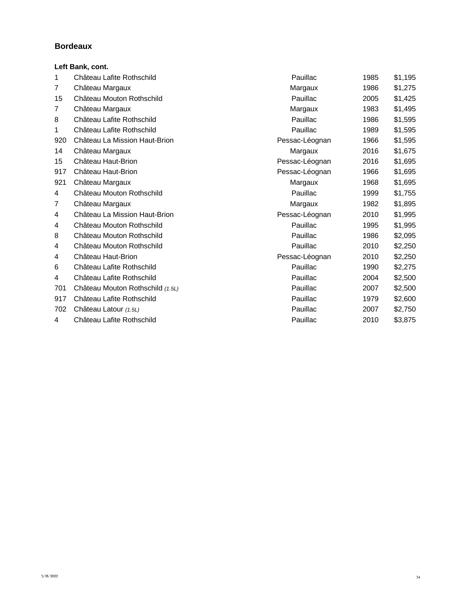|                | Left Bank, cont.                 |                |      |         |
|----------------|----------------------------------|----------------|------|---------|
| 1              | Château Lafite Rothschild        | Pauillac       | 1985 | \$1,195 |
| $\overline{7}$ | Château Margaux                  | Margaux        | 1986 | \$1,275 |
| 15             | Château Mouton Rothschild        | Pauillac       | 2005 | \$1,425 |
| 7              | Château Margaux                  | Margaux        | 1983 | \$1,495 |
| 8              | Château Lafite Rothschild        | Pauillac       | 1986 | \$1,595 |
| 1              | Château Lafite Rothschild        | Pauillac       | 1989 | \$1,595 |
| 920            | Château La Mission Haut-Brion    | Pessac-Léognan | 1966 | \$1,595 |
| 14             | Château Margaux                  | Margaux        | 2016 | \$1,675 |
| 15             | Château Haut-Brion               | Pessac-Léognan | 2016 | \$1,695 |
| 917            | Château Haut-Brion               | Pessac-Léognan | 1966 | \$1,695 |
| 921            | Château Margaux                  | Margaux        | 1968 | \$1,695 |
| $\overline{4}$ | Château Mouton Rothschild        | Pauillac       | 1999 | \$1,755 |
| 7              | Château Margaux                  | Margaux        | 1982 | \$1,895 |
| 4              | Château La Mission Haut-Brion    | Pessac-Léognan | 2010 | \$1,995 |
| 4              | Château Mouton Rothschild        | Pauillac       | 1995 | \$1,995 |
| 8              | Château Mouton Rothschild        | Pauillac       | 1986 | \$2,095 |
| 4              | Château Mouton Rothschild        | Pauillac       | 2010 | \$2,250 |
| 4              | Château Haut-Brion               | Pessac-Léognan | 2010 | \$2,250 |
| 6              | Château Lafite Rothschild        | Pauillac       | 1990 | \$2,275 |
| 4              | Château Lafite Rothschild        | Pauillac       | 2004 | \$2,500 |
| 701            | Château Mouton Rothschild (1.5L) | Pauillac       | 2007 | \$2,500 |
| 917            | Château Lafite Rothschild        | Pauillac       | 1979 | \$2,600 |
| 702            | Château Latour (1.5L)            | Pauillac       | 2007 | \$2,750 |
| 4              | Château Lafite Rothschild        | Pauillac       | 2010 | \$3,875 |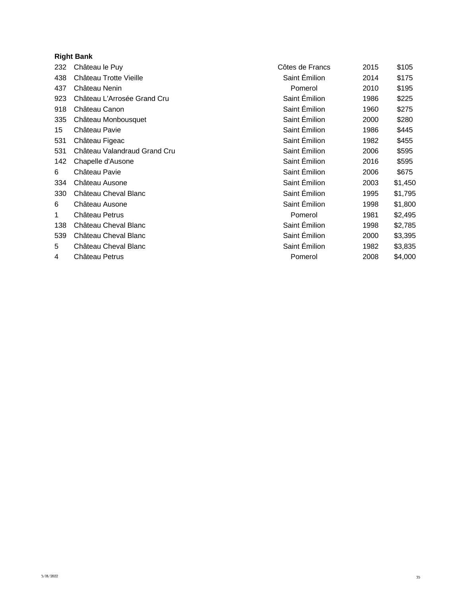### **Right Bank**

| 232 | Château le Puy               | Côtes de Francs | 2015 | \$105   |
|-----|------------------------------|-----------------|------|---------|
| 438 | Château Trotte Vieille       | Saint Émilion   | 2014 | \$175   |
| 437 | Château Nenin                | Pomerol         | 2010 | \$195   |
| 923 | Château L'Arrosée Grand Cru  | Saint Émilion   | 1986 | \$225   |
| 918 | Château Canon                | Saint Émilion   | 1960 | \$275   |
| 335 | Château Monbousquet          | Saint Émilion   | 2000 | \$280   |
| 15  | Château Pavie                | Saint Émilion   | 1986 | \$445   |
| 531 | Château Figeac               | Saint Émilion   | 1982 | \$455   |
| 531 | Château Valandraud Grand Cru | Saint Émilion   | 2006 | \$595   |
| 142 | Chapelle d'Ausone            | Saint Émilion   | 2016 | \$595   |
| 6   | Château Pavie                | Saint Émilion   | 2006 | \$675   |
| 334 | Château Ausone               | Saint Émilion   | 2003 | \$1,450 |
| 330 | Château Cheval Blanc         | Saint Émilion   | 1995 | \$1,795 |
| 6   | Château Ausone               | Saint Émilion   | 1998 | \$1,800 |
| 1   | Château Petrus               | Pomerol         | 1981 | \$2,495 |
| 138 | Château Cheval Blanc         | Saint Émilion   | 1998 | \$2,785 |
| 539 | Château Cheval Blanc         | Saint Émilion   | 2000 | \$3,395 |
| 5   | Château Cheval Blanc         | Saint Émilion   | 1982 | \$3,835 |
| 4   | Château Petrus               | Pomerol         | 2008 | \$4,000 |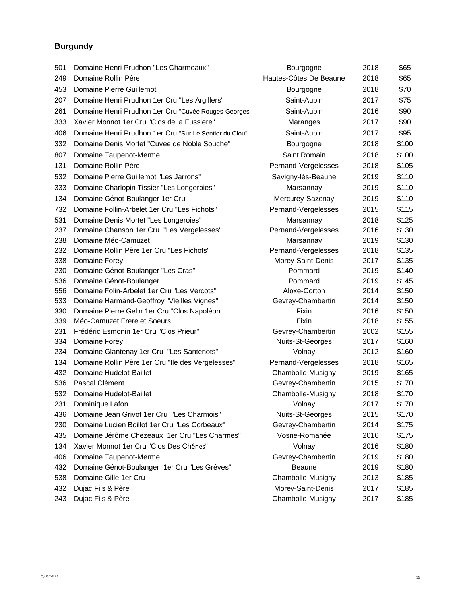## **Burgundy**

| 501 | Domaine Henri Prudhon "Les Charmeaux"                  | Bourgogne              | 2018 | \$65  |
|-----|--------------------------------------------------------|------------------------|------|-------|
| 249 | Domaine Rollin Père                                    | Hautes-Côtes De Beaune | 2018 | \$65  |
| 453 | Domaine Pierre Guillemot                               | Bourgogne              | 2018 | \$70  |
| 207 | Domaine Henri Prudhon 1er Cru "Les Argillers"          | Saint-Aubin            | 2017 | \$75  |
| 261 | Domaine Henri Prudhon 1er Cru "Cuvée Rouges-Georges    | Saint-Aubin            | 2016 | \$90  |
| 333 | Xavier Monnot 1er Cru "Clos de la Fussiere"            | Maranges               | 2017 | \$90  |
| 406 | Domaine Henri Prudhon 1er Cru "Sur Le Sentier du Clou" | Saint-Aubin            | 2017 | \$95  |
| 332 | Domaine Denis Mortet "Cuvée de Noble Souche"           | Bourgogne              | 2018 | \$100 |
| 807 | Domaine Taupenot-Merme                                 | Saint Romain           | 2018 | \$100 |
| 131 | Domaine Rollin Père                                    | Pernand-Vergelesses    | 2018 | \$105 |
| 532 | Domaine Pierre Guillemot "Les Jarrons"                 | Savigny-lès-Beaune     | 2019 | \$110 |
| 333 | Domaine Charlopin Tissier "Les Longeroies"             | Marsannay              | 2019 | \$110 |
| 134 | Domaine Génot-Boulanger 1er Cru                        | Mercurey-Sazenay       | 2019 | \$110 |
| 732 | Domaine Follin-Arbelet 1er Cru "Les Fichots"           | Pernand-Vergelesses    | 2015 | \$115 |
| 531 | Domaine Denis Mortet "Les Longeroies"                  | Marsannay              | 2018 | \$125 |
| 237 | Domaine Chanson 1er Cru "Les Vergelesses"              | Pernand-Vergelesses    | 2016 | \$130 |
| 238 | Domaine Méo-Camuzet                                    | Marsannay              | 2019 | \$130 |
| 232 | Domaine Rollin Père 1er Cru "Les Fichots"              | Pernand-Vergelesses    | 2018 | \$135 |
| 338 | Domaine Forey                                          | Morey-Saint-Denis      | 2017 | \$135 |
| 230 | Domaine Génot-Boulanger "Les Cras"                     | Pommard                | 2019 | \$140 |
| 536 | Domaine Génot-Boulanger                                | Pommard                | 2019 | \$145 |
| 556 | Domaine Folin-Arbelet 1er Cru "Les Vercots"            | Aloxe-Corton           | 2014 | \$150 |
| 533 | Domaine Harmand-Geoffroy "Vieilles Vignes"             | Gevrey-Chambertin      | 2014 | \$150 |
| 330 | Domaine Pierre Gelin 1er Cru "Clos Napoléon            | Fixin                  | 2016 | \$150 |
| 339 | Méo-Camuzet Frere et Soeurs                            | Fixin                  | 2018 | \$155 |
| 231 | Frédéric Esmonin 1er Cru "Clos Prieur"                 | Gevrey-Chambertin      | 2002 | \$155 |
| 334 | Domaine Forey                                          | Nuits-St-Georges       | 2017 | \$160 |
| 234 | Domaine Glantenay 1er Cru "Les Santenots"              | Volnay                 | 2012 | \$160 |
| 134 | Domaine Rollin Père 1er Cru "Ile des Vergelesses"      | Pernand-Vergelesses    | 2018 | \$165 |
| 432 | Domaine Hudelot-Baillet                                | Chambolle-Musigny      | 2019 | \$165 |
| 536 | Pascal Clément                                         | Gevrey-Chambertin      | 2015 | \$170 |
| 532 | Domaine Hudelot-Baillet                                | Chambolle-Musigny      | 2018 | \$170 |
| 231 | Dominique Lafon                                        | Volnay                 | 2017 | \$170 |
| 436 | Domaine Jean Grivot 1er Cru "Les Charmois"             | Nuits-St-Georges       | 2015 | \$170 |
| 230 | Domaine Lucien Boillot 1er Cru "Les Corbeaux"          | Gevrey-Chambertin      | 2014 | \$175 |
| 435 | Domaine Jérôme Chezeaux 1er Cru "Les Charmes"          | Vosne-Romanée          | 2016 | \$175 |
| 134 | Xavier Monnot 1er Cru "Clos Des Chênes"                | Volnay                 | 2016 | \$180 |
| 406 | Domaine Taupenot-Merme                                 | Gevrey-Chambertin      | 2019 | \$180 |
| 432 | Domaine Génot-Boulanger 1er Cru "Les Gréves"           | <b>Beaune</b>          | 2019 | \$180 |
| 538 | Domaine Gille 1er Cru                                  | Chambolle-Musigny      | 2013 | \$185 |
| 432 | Dujac Fils & Père                                      | Morey-Saint-Denis      | 2017 | \$185 |
| 243 | Dujac Fils & Père                                      | Chambolle-Musigny      | 2017 | \$185 |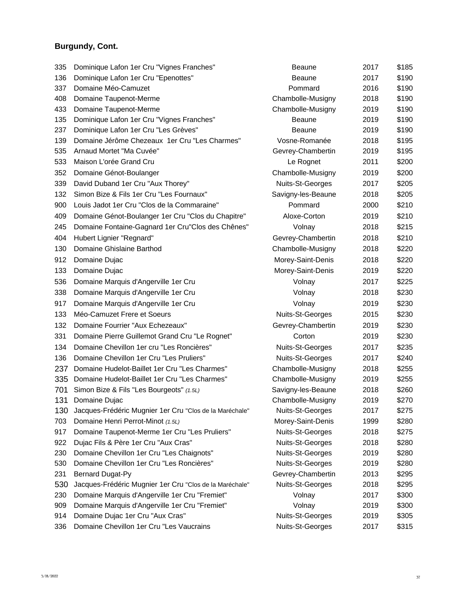# **Burgundy, Cont.**

| 335 | Dominique Lafon 1er Cru "Vignes Franches"               | <b>Beaune</b>      | 2017 | \$185 |
|-----|---------------------------------------------------------|--------------------|------|-------|
| 136 | Dominique Lafon 1er Cru "Epenottes"                     | <b>Beaune</b>      | 2017 | \$190 |
| 337 | Domaine Méo-Camuzet                                     | Pommard            | 2016 | \$190 |
| 408 | Domaine Taupenot-Merme                                  | Chambolle-Musigny  | 2018 | \$190 |
| 433 | Domaine Taupenot-Merme                                  | Chambolle-Musigny  | 2019 | \$190 |
| 135 | Dominique Lafon 1er Cru "Vignes Franches"               | Beaune             | 2019 | \$190 |
| 237 | Dominique Lafon 1er Cru "Les Grèves"                    | <b>Beaune</b>      | 2019 | \$190 |
| 139 | Domaine Jérôme Chezeaux 1er Cru "Les Charmes"           | Vosne-Romanée      | 2018 | \$195 |
| 535 | Arnaud Mortet "Ma Cuvée"                                | Gevrey-Chambertin  | 2019 | \$195 |
| 533 | Maison L'orée Grand Cru                                 | Le Rognet          | 2011 | \$200 |
| 352 | Domaine Génot-Boulanger                                 | Chambolle-Musigny  | 2019 | \$200 |
| 339 | David Duband 1er Cru "Aux Thorey"                       | Nuits-St-Georges   | 2017 | \$205 |
| 132 | Simon Bize & Fils 1er Cru "Les Fournaux"                | Savigny-les-Beaune | 2018 | \$205 |
| 900 | Louis Jadot 1er Cru "Clos de la Commaraine"             | Pommard            | 2000 | \$210 |
| 409 | Domaine Génot-Boulanger 1er Cru "Clos du Chapitre"      | Aloxe-Corton       | 2019 | \$210 |
| 245 | Domaine Fontaine-Gagnard 1er Cru"Clos des Chênes"       | Volnay             | 2018 | \$215 |
| 404 | Hubert Lignier "Regnard"                                | Gevrey-Chambertin  | 2018 | \$210 |
| 130 | Domaine Ghislaine Barthod                               | Chambolle-Musigny  | 2018 | \$220 |
| 912 | Domaine Dujac                                           | Morey-Saint-Denis  | 2018 | \$220 |
| 133 | Domaine Dujac                                           | Morey-Saint-Denis  | 2019 | \$220 |
| 536 | Domaine Marquis d'Angerville 1er Cru                    | Volnay             | 2017 | \$225 |
| 338 | Domaine Marquis d'Angerville 1er Cru                    | Volnay             | 2018 | \$230 |
| 917 | Domaine Marquis d'Angerville 1er Cru                    | Volnay             | 2019 | \$230 |
| 133 | Méo-Camuzet Frere et Soeurs                             | Nuits-St-Georges   | 2015 | \$230 |
| 132 | Domaine Fourrier "Aux Echezeaux"                        | Gevrey-Chambertin  | 2019 | \$230 |
| 331 | Domaine Pierre Guillemot Grand Cru "Le Rognet"          | Corton             | 2019 | \$230 |
| 134 | Domaine Chevillon 1er cru "Les Roncières"               | Nuits-St-Georges   | 2017 | \$235 |
| 136 | Domaine Chevillon 1er Cru "Les Pruliers"                | Nuits-St-Georges   | 2017 | \$240 |
| 237 | Domaine Hudelot-Baillet 1er Cru "Les Charmes"           | Chambolle-Musigny  | 2018 | \$255 |
| 335 | Domaine Hudelot-Baillet 1er Cru "Les Charmes"           | Chambolle-Musigny  | 2019 | \$255 |
| 701 | Simon Bize & Fils "Les Bourgeots" (1.5L)                | Savigny-les-Beaune | 2018 | \$260 |
| 131 | Domaine Dujac                                           | Chambolle-Musigny  | 2019 | \$270 |
| 130 | Jacques-Frédéric Mugnier 1er Cru "Clos de la Maréchale" | Nuits-St-Georges   | 2017 | \$275 |
| 703 | Domaine Henri Perrot-Minot (1.5L)                       | Morey-Saint-Denis  | 1999 | \$280 |
| 917 | Domaine Taupenot-Merme 1er Cru "Les Pruliers"           | Nuits-St-Georges   | 2018 | \$275 |
| 922 | Dujac Fils & Père 1er Cru "Aux Cras"                    | Nuits-St-Georges   | 2018 | \$280 |
| 230 | Domaine Chevillon 1er Cru "Les Chaignots"               | Nuits-St-Georges   | 2019 | \$280 |
| 530 | Domaine Chevillon 1er Cru "Les Roncières"               | Nuits-St-Georges   | 2019 | \$280 |
| 231 | <b>Bernard Dugat-Py</b>                                 | Gevrey-Chambertin  | 2013 | \$295 |
| 530 | Jacques-Frédéric Mugnier 1er Cru "Clos de la Maréchale" | Nuits-St-Georges   | 2018 | \$295 |
| 230 | Domaine Marquis d'Angerville 1er Cru "Fremiet"          | Volnay             | 2017 | \$300 |
| 909 | Domaine Marquis d'Angerville 1er Cru "Fremiet"          | Volnay             | 2019 | \$300 |
| 914 | Domaine Dujac 1er Cru "Aux Cras"                        | Nuits-St-Georges   | 2019 | \$305 |
| 336 | Domaine Chevillon 1er Cru "Les Vaucrains                | Nuits-St-Georges   | 2017 | \$315 |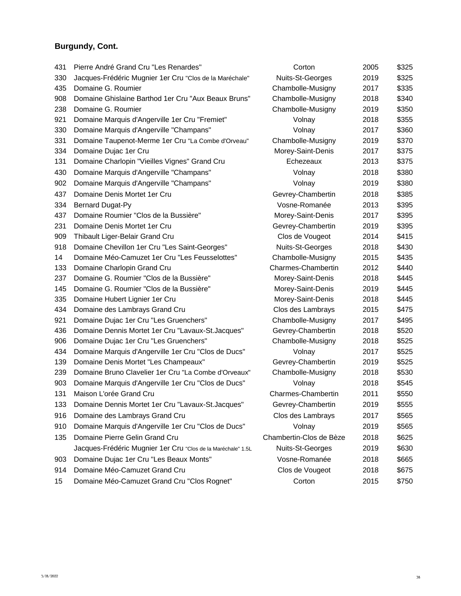# **Burgundy, Cont.**

| 431 | Pierre André Grand Cru "Les Renardes"                        | Corton                  | 2005 | \$325 |
|-----|--------------------------------------------------------------|-------------------------|------|-------|
| 330 | Jacques-Frédéric Mugnier 1er Cru "Clos de la Maréchale"      | Nuits-St-Georges        | 2019 | \$325 |
| 435 | Domaine G. Roumier                                           | Chambolle-Musigny       | 2017 | \$335 |
| 908 | Domaine Ghislaine Barthod 1er Cru "Aux Beaux Bruns"          | Chambolle-Musigny       | 2018 | \$340 |
| 238 | Domaine G. Roumier                                           | Chambolle-Musigny       | 2019 | \$350 |
| 921 | Domaine Marquis d'Angerville 1er Cru "Fremiet"               | Volnay                  | 2018 | \$355 |
| 330 | Domaine Marquis d'Angerville "Champans"                      | Volnay                  | 2017 | \$360 |
| 331 | Domaine Taupenot-Merme 1er Cru "La Combe d'Orveau"           | Chambolle-Musigny       | 2019 | \$370 |
| 334 | Domaine Dujac 1er Cru                                        | Morey-Saint-Denis       | 2017 | \$375 |
| 131 | Domaine Charlopin "Vieilles Vignes" Grand Cru                | Echezeaux               | 2013 | \$375 |
| 430 | Domaine Marquis d'Angerville "Champans"                      | Volnay                  | 2018 | \$380 |
| 902 | Domaine Marquis d'Angerville "Champans"                      | Volnay                  | 2019 | \$380 |
| 437 | Domaine Denis Mortet 1er Cru                                 | Gevrey-Chambertin       | 2018 | \$385 |
| 334 | <b>Bernard Dugat-Py</b>                                      | Vosne-Romanée           | 2013 | \$395 |
| 437 | Domaine Roumier "Clos de la Bussière"                        | Morey-Saint-Denis       | 2017 | \$395 |
| 231 | Domaine Denis Mortet 1er Cru                                 | Gevrey-Chambertin       | 2019 | \$395 |
| 909 | Thibault Liger-Belair Grand Cru                              | Clos de Vougeot         | 2014 | \$415 |
| 918 | Domaine Chevillon 1er Cru "Les Saint-Georges"                | Nuits-St-Georges        | 2018 | \$430 |
| 14  | Domaine Méo-Camuzet 1er Cru "Les Feusselottes"               | Chambolle-Musigny       | 2015 | \$435 |
| 133 | Domaine Charlopin Grand Cru                                  | Charmes-Chambertin      | 2012 | \$440 |
| 237 | Domaine G. Roumier "Clos de la Bussière"                     | Morey-Saint-Denis       | 2018 | \$445 |
| 145 | Domaine G. Roumier "Clos de la Bussière"                     | Morey-Saint-Denis       | 2019 | \$445 |
| 335 | Domaine Hubert Lignier 1er Cru                               | Morey-Saint-Denis       | 2018 | \$445 |
| 434 | Domaine des Lambrays Grand Cru                               | Clos des Lambrays       | 2015 | \$475 |
| 921 | Domaine Dujac 1er Cru "Les Gruenchers"                       | Chambolle-Musigny       | 2017 | \$495 |
| 436 | Domaine Dennis Mortet 1er Cru "Lavaux-St.Jacques"            | Gevrey-Chambertin       | 2018 | \$520 |
| 906 | Domaine Dujac 1er Cru "Les Gruenchers"                       | Chambolle-Musigny       | 2018 | \$525 |
| 434 | Domaine Marquis d'Angerville 1er Cru "Clos de Ducs"          | Volnay                  | 2017 | \$525 |
| 139 | Domaine Denis Mortet "Les Champeaux"                         | Gevrey-Chambertin       | 2019 | \$525 |
| 239 | Domaine Bruno Clavelier 1er Cru "La Combe d'Orveaux"         | Chambolle-Musigny       | 2018 | \$530 |
| 903 | Domaine Marquis d'Angerville 1er Cru "Clos de Ducs"          | Volnay                  | 2018 | \$545 |
| 131 | Maison L'orée Grand Cru                                      | Charmes-Chambertin      | 2011 | \$550 |
| 133 | Domaine Dennis Mortet 1er Cru "Lavaux-St.Jacques"            | Gevrey-Chambertin       | 2019 | \$555 |
| 916 | Domaine des Lambrays Grand Cru                               | Clos des Lambrays       | 2017 | \$565 |
| 910 | Domaine Marquis d'Angerville 1er Cru "Clos de Ducs"          | Volnay                  | 2019 | \$565 |
| 135 | Domaine Pierre Gelin Grand Cru                               | Chambertin-Clos de Bèze | 2018 | \$625 |
|     | Jacques-Frédéric Mugnier 1er Cru "Clos de la Maréchale" 1.5L | Nuits-St-Georges        | 2019 | \$630 |
| 903 | Domaine Dujac 1er Cru "Les Beaux Monts"                      | Vosne-Romanée           | 2018 | \$665 |
| 914 | Domaine Méo-Camuzet Grand Cru                                | Clos de Vougeot         | 2018 | \$675 |
| 15  | Domaine Méo-Camuzet Grand Cru "Clos Rognet"                  | Corton                  | 2015 | \$750 |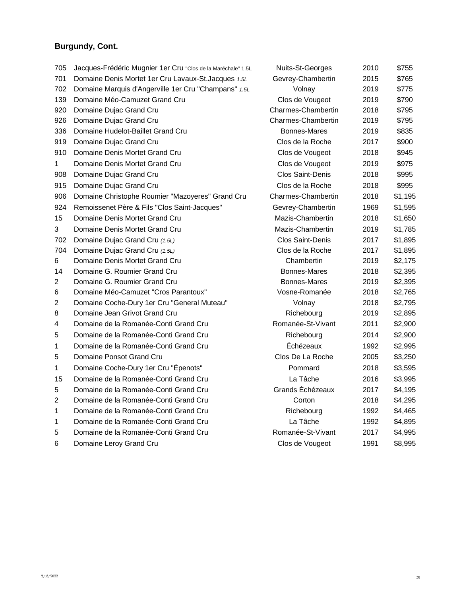# **Burgundy, Cont.**

| 705            | Jacques-Frédéric Mugnier 1er Cru "Clos de la Maréchale" 1.5L | Nuits-St-Georges        | 2010 | \$755   |
|----------------|--------------------------------------------------------------|-------------------------|------|---------|
| 701            | Domaine Denis Mortet 1er Cru Lavaux-St.Jacques 1.5L          | Gevrey-Chambertin       | 2015 | \$765   |
| 702            | Domaine Marquis d'Angerville 1 er Cru "Champans" 1.5L        | Volnay                  | 2019 | \$775   |
| 139            | Domaine Méo-Camuzet Grand Cru                                | Clos de Vougeot         | 2019 | \$790   |
| 920            | Domaine Dujac Grand Cru                                      | Charmes-Chambertin      | 2018 | \$795   |
| 926            | Domaine Dujac Grand Cru                                      | Charmes-Chambertin      | 2019 | \$795   |
| 336            | Domaine Hudelot-Baillet Grand Cru                            | <b>Bonnes-Mares</b>     | 2019 | \$835   |
| 919            | Domaine Dujac Grand Cru                                      | Clos de la Roche        | 2017 | \$900   |
| 910            | Domaine Denis Mortet Grand Cru                               | Clos de Vougeot         | 2018 | \$945   |
| $\mathbf{1}$   | Domaine Denis Mortet Grand Cru                               | Clos de Vougeot         | 2019 | \$975   |
| 908            | Domaine Dujac Grand Cru                                      | <b>Clos Saint-Denis</b> | 2018 | \$995   |
| 915            | Domaine Dujac Grand Cru                                      | Clos de la Roche        | 2018 | \$995   |
| 906            | Domaine Christophe Roumier "Mazoyeres" Grand Cru             | Charmes-Chambertin      | 2018 | \$1,195 |
| 924            | Remoissenet Père & Fils "Clos Saint-Jacques"                 | Gevrey-Chambertin       | 1969 | \$1,595 |
| 15             | Domaine Denis Mortet Grand Cru                               | Mazis-Chambertin        | 2018 | \$1,650 |
| 3              | Domaine Denis Mortet Grand Cru                               | Mazis-Chambertin        | 2019 | \$1,785 |
| 702            | Domaine Dujac Grand Cru (1.5L)                               | <b>Clos Saint-Denis</b> | 2017 | \$1,895 |
| 704            | Domaine Dujac Grand Cru (1.5L)                               | Clos de la Roche        | 2017 | \$1,895 |
| 6              | Domaine Denis Mortet Grand Cru                               | Chambertin              | 2019 | \$2,175 |
| 14             | Domaine G. Roumier Grand Cru                                 | <b>Bonnes-Mares</b>     | 2018 | \$2,395 |
| $\overline{2}$ | Domaine G. Roumier Grand Cru                                 | <b>Bonnes-Mares</b>     | 2019 | \$2,395 |
| 6              | Domaine Méo-Camuzet "Cros Parantoux"                         | Vosne-Romanée           | 2018 | \$2,765 |
| $\overline{2}$ | Domaine Coche-Dury 1er Cru "General Muteau"                  | Volnay                  | 2018 | \$2,795 |
| 8              | Domaine Jean Grivot Grand Cru                                | Richebourg              | 2019 | \$2,895 |
| 4              | Domaine de la Romanée-Conti Grand Cru                        | Romanée-St-Vivant       | 2011 | \$2,900 |
| 5              | Domaine de la Romanée-Conti Grand Cru                        | Richebourg              | 2014 | \$2,900 |
| 1              | Domaine de la Romanée-Conti Grand Cru                        | Échézeaux               | 1992 | \$2,995 |
| 5              | Domaine Ponsot Grand Cru                                     | Clos De La Roche        | 2005 | \$3,250 |
| 1              | Domaine Coche-Dury 1er Cru "Épenots"                         | Pommard                 | 2018 | \$3,595 |
| 15             | Domaine de la Romanée-Conti Grand Cru                        | La Tâche                | 2016 | \$3,995 |
| 5              | Domaine de la Romanée-Conti Grand Cru                        | Grands Échézeaux        | 2017 | \$4,195 |
| $\overline{2}$ | Domaine de la Romanée-Conti Grand Cru                        | Corton                  | 2018 | \$4,295 |
| 1              | Domaine de la Romanée-Conti Grand Cru                        | Richebourg              | 1992 | \$4,465 |
| 1              | Domaine de la Romanée-Conti Grand Cru                        | La Tâche                | 1992 | \$4,895 |
| 5              | Domaine de la Romanée-Conti Grand Cru                        | Romanée-St-Vivant       | 2017 | \$4,995 |
| 6              | Domaine Leroy Grand Cru                                      | Clos de Vougeot         | 1991 | \$8,995 |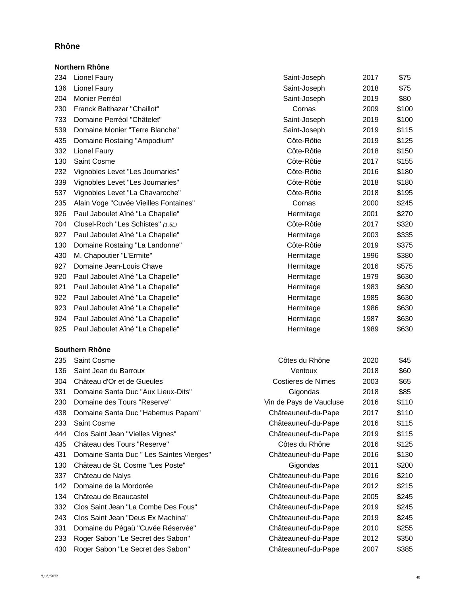### **Rhône**

|     | Northern Rhône                        |              |      |       |
|-----|---------------------------------------|--------------|------|-------|
| 234 | Lionel Faury                          | Saint-Joseph | 2017 | \$75  |
| 136 | <b>Lionel Faury</b>                   | Saint-Joseph | 2018 | \$75  |
| 204 | Monier Perréol                        | Saint-Joseph | 2019 | \$80  |
| 230 | Franck Balthazar "Chaillot"           | Cornas       | 2009 | \$100 |
| 733 | Domaine Perréol "Châtelet"            | Saint-Joseph | 2019 | \$100 |
| 539 | Domaine Monier "Terre Blanche"        | Saint-Joseph | 2019 | \$115 |
| 435 | Domaine Rostaing "Ampodium"           | Côte-Rôtie   | 2019 | \$125 |
| 332 | Lionel Faury                          | Côte-Rôtie   | 2018 | \$150 |
| 130 | Saint Cosme                           | Côte-Rôtie   | 2017 | \$155 |
| 232 | Vignobles Levet "Les Journaries"      | Côte-Rôtie   | 2016 | \$180 |
| 339 | Vignobles Levet "Les Journaries"      | Côte-Rôtie   | 2018 | \$180 |
| 537 | Vignobles Levet "La Chavaroche"       | Côte-Rôtie   | 2018 | \$195 |
| 235 | Alain Voge "Cuvée Vieilles Fontaines" | Cornas       | 2000 | \$245 |
| 926 | Paul Jaboulet Aîné "La Chapelle"      | Hermitage    | 2001 | \$270 |
| 704 | Clusel-Roch "Les Schistes" (1.5L)     | Côte-Rôtie   | 2017 | \$320 |
| 927 | Paul Jaboulet Aîné "La Chapelle"      | Hermitage    | 2003 | \$335 |
| 130 | Domaine Rostaing "La Landonne"        | Côte-Rôtie   | 2019 | \$375 |
| 430 | M. Chapoutier "L'Ermite"              | Hermitage    | 1996 | \$380 |
| 927 | Domaine Jean-Louis Chave              | Hermitage    | 2016 | \$575 |
| 920 | Paul Jaboulet Aîné "La Chapelle"      | Hermitage    | 1979 | \$630 |
| 921 | Paul Jaboulet Aîné "La Chapelle"      | Hermitage    | 1983 | \$630 |
| 922 | Paul Jaboulet Aîné "La Chapelle"      | Hermitage    | 1985 | \$630 |
| 923 | Paul Jaboulet Aîné "La Chapelle"      | Hermitage    | 1986 | \$630 |
| 924 | Paul Jaboulet Aîné "La Chapelle"      | Hermitage    | 1987 | \$630 |
| 925 | Paul Jaboulet Aîné "La Chapelle"      | Hermitage    | 1989 | \$630 |
|     |                                       |              |      |       |

# **Southern Rhône**<br>235 **Saint Cosme**

| 235 | <b>Saint Cosme</b>                       | Côtes du Rhône          | 2020 | \$45  |
|-----|------------------------------------------|-------------------------|------|-------|
| 136 | Saint Jean du Barroux                    | Ventoux                 | 2018 | \$60  |
| 304 | Château d'Or et de Gueules               | Costieres de Nimes      | 2003 | \$65  |
| 331 | Domaine Santa Duc "Aux Lieux-Dits"       | Gigondas                | 2018 | \$85  |
| 230 | Domaine des Tours "Reserve"              | Vin de Pays de Vaucluse | 2016 | \$110 |
| 438 | Domaine Santa Duc "Habemus Papam"        | Châteauneuf-du-Pape     | 2017 | \$110 |
| 233 | <b>Saint Cosme</b>                       | Châteauneuf-du-Pape     | 2016 | \$115 |
| 444 | Clos Saint Jean "Vielles Vignes"         | Châteauneuf-du-Pape     | 2019 | \$115 |
| 435 | Château des Tours "Reserve"              | Côtes du Rhône          | 2016 | \$125 |
| 431 | Domaine Santa Duc " Les Saintes Vierges" | Châteauneuf-du-Pape     | 2016 | \$130 |
| 130 | Château de St. Cosme "Les Poste"         | Gigondas                | 2011 | \$200 |
| 337 | Château de Nalys                         | Châteauneuf-du-Pape     | 2016 | \$210 |
| 142 | Domaine de la Mordorée                   | Châteauneuf-du-Pape     | 2012 | \$215 |
| 134 | Château de Beaucastel                    | Châteauneuf-du-Pape     | 2005 | \$245 |
| 332 | Clos Saint Jean "La Combe Des Fous"      | Châteauneuf-du-Pape     | 2019 | \$245 |
| 243 | Clos Saint Jean "Deus Ex Machina"        | Châteauneuf-du-Pape     | 2019 | \$245 |
| 331 | Domaine du Pégaü "Cuvée Réservée"        | Châteauneuf-du-Pape     | 2010 | \$255 |
| 233 | Roger Sabon "Le Secret des Sabon"        | Châteauneuf-du-Pape     | 2012 | \$350 |
| 430 | Roger Sabon "Le Secret des Sabon"        | Châteauneuf-du-Pape     | 2007 | \$385 |
|     |                                          |                         |      |       |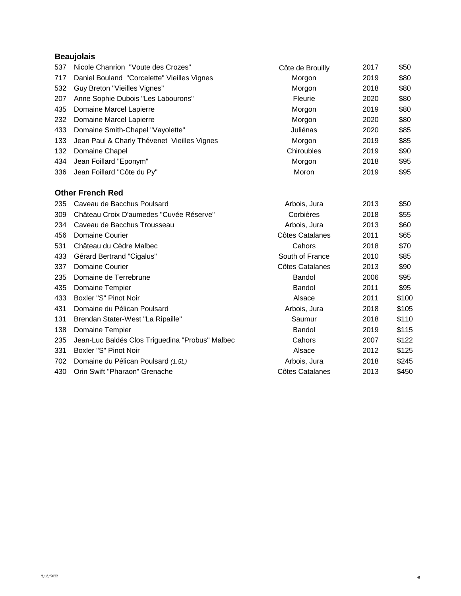## **Beaujolais**

| 537 | Nicole Chanrion "Voute des Crozes"              | Côte de Brouilly | 2017 | \$50  |
|-----|-------------------------------------------------|------------------|------|-------|
| 717 | Daniel Bouland "Corcelette" Vieilles Vignes     | Morgon           | 2019 | \$80  |
| 532 | Guy Breton "Vieilles Vignes"                    | Morgon           | 2018 | \$80  |
| 207 | Anne Sophie Dubois "Les Labourons"              | Fleurie          | 2020 | \$80  |
| 435 | Domaine Marcel Lapierre                         | Morgon           | 2019 | \$80  |
| 232 | Domaine Marcel Lapierre                         | Morgon           | 2020 | \$80  |
| 433 | Domaine Smith-Chapel "Vayolette"                | Juliénas         | 2020 | \$85  |
| 133 | Jean Paul & Charly Thévenet Vieilles Vignes     | Morgon           | 2019 | \$85  |
| 132 | Domaine Chapel                                  | Chiroubles       | 2019 | \$90  |
| 434 | Jean Foillard "Eponym"                          | Morgon           | 2018 | \$95  |
| 336 | Jean Foillard "Côte du Py"                      | Moron            | 2019 | \$95  |
|     | <b>Other French Red</b>                         |                  |      |       |
| 235 | Caveau de Bacchus Poulsard                      | Arbois, Jura     | 2013 | \$50  |
| 309 | Château Croix D'aumedes "Cuvée Réserve"         | Corbières        | 2018 | \$55  |
| 234 | Caveau de Bacchus Trousseau                     | Arbois, Jura     | 2013 | \$60  |
| 456 | <b>Domaine Courier</b>                          | Côtes Catalanes  | 2011 | \$65  |
| 531 | Château du Cèdre Malbec                         | Cahors           | 2018 | \$70  |
| 433 | Gérard Bertrand "Cigalus"                       | South of France  | 2010 | \$85  |
| 337 | Domaine Courier                                 | Côtes Catalanes  | 2013 | \$90  |
| 235 | Domaine de Terrebrune                           | Bandol           | 2006 | \$95  |
| 435 | Domaine Tempier                                 | Bandol           | 2011 | \$95  |
| 433 | Boxler "S" Pinot Noir                           | Alsace           | 2011 | \$100 |
| 431 | Domaine du Pélican Poulsard                     | Arbois, Jura     | 2018 | \$105 |
| 131 | Brendan Stater-West "La Ripaille"               | Saumur           | 2018 | \$110 |
| 138 | Domaine Tempier                                 | Bandol           | 2019 | \$115 |
| 235 | Jean-Luc Baldés Clos Triguedina "Probus" Malbec | Cahors           | 2007 | \$122 |
| 331 | Boxler "S" Pinot Noir                           | Alsace           | 2012 | \$125 |
| 702 | Domaine du Pélican Poulsard (1.5L)              | Arbois, Jura     | 2018 | \$245 |
| 430 | Orin Swift "Pharaon" Grenache                   | Côtes Catalanes  | 2013 | \$450 |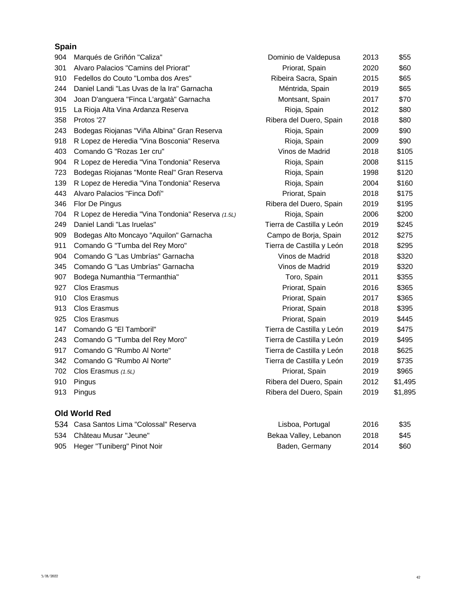## **Spain**

| 904 | Marqués de Griñón "Caliza"                        | Dominio de Valdepusa      | 2013 | \$55    |
|-----|---------------------------------------------------|---------------------------|------|---------|
| 301 | Alvaro Palacios "Camins del Priorat"              | Priorat, Spain            | 2020 | \$60    |
| 910 | Fedellos do Couto "Lomba dos Ares"                | Ribeira Sacra, Spain      | 2015 | \$65    |
| 244 | Daniel Landi "Las Uvas de la Ira" Garnacha        | Méntrida, Spain           | 2019 | \$65    |
| 304 | Joan D'anguera "Finca L'argatà" Garnacha          | Montsant, Spain           | 2017 | \$70    |
| 915 | La Rioja Alta Vina Ardanza Reserva                | Rioja, Spain              | 2012 | \$80    |
| 358 | Protos '27                                        | Ribera del Duero, Spain   | 2018 | \$80    |
| 243 | Bodegas Riojanas "Viña Albina" Gran Reserva       | Rioja, Spain              | 2009 | \$90    |
| 918 | R Lopez de Heredia "Vina Bosconia" Reserva        | Rioja, Spain              | 2009 | \$90    |
| 403 | Comando G "Rozas 1er cru"                         | Vinos de Madrid           | 2018 | \$105   |
| 904 | R Lopez de Heredia "Vina Tondonia" Reserva        | Rioja, Spain              | 2008 | \$115   |
| 723 | Bodegas Riojanas "Monte Real" Gran Reserva        | Rioja, Spain              | 1998 | \$120   |
| 139 | R Lopez de Heredia "Vina Tondonia" Reserva        | Rioja, Spain              | 2004 | \$160   |
| 443 | Alvaro Palacios "Finca Dofí"                      | Priorat, Spain            | 2018 | \$175   |
| 346 | Flor De Pingus                                    | Ribera del Duero, Spain   | 2019 | \$195   |
| 704 | R Lopez de Heredia "Vina Tondonia" Reserva (1.5L) | Rioja, Spain              | 2006 | \$200   |
| 249 | Daniel Landi "Las Iruelas"                        | Tierra de Castilla y León | 2019 | \$245   |
| 909 | Bodegas Alto Moncayo "Aquilon" Garnacha           | Campo de Borja, Spain     | 2012 | \$275   |
| 911 | Comando G "Tumba del Rey Moro"                    | Tierra de Castilla y León | 2018 | \$295   |
| 904 | Comando G "Las Umbrías" Garnacha                  | Vinos de Madrid           | 2018 | \$320   |
| 345 | Comando G "Las Umbrías" Garnacha                  | Vinos de Madrid           | 2019 | \$320   |
| 907 | Bodega Numanthia "Termanthia"                     | Toro, Spain               | 2011 | \$355   |
| 927 | <b>Clos Erasmus</b>                               | Priorat, Spain            | 2016 | \$365   |
| 910 | <b>Clos Erasmus</b>                               | Priorat, Spain            | 2017 | \$365   |
| 913 | Clos Erasmus                                      | Priorat, Spain            | 2018 | \$395   |
| 925 | Clos Erasmus                                      | Priorat, Spain            | 2019 | \$445   |
| 147 | Comando G "El Tamboril"                           | Tierra de Castilla y León | 2019 | \$475   |
| 243 | Comando G "Tumba del Rey Moro"                    | Tierra de Castilla y León | 2019 | \$495   |
| 917 | Comando G "Rumbo Al Norte"                        | Tierra de Castilla y León | 2018 | \$625   |
| 342 | Comando G "Rumbo Al Norte"                        | Tierra de Castilla y León | 2019 | \$735   |
| 702 | Clos Erasmus (1.5L)                               | Priorat, Spain            | 2019 | \$965   |
| 910 | Pingus                                            | Ribera del Duero, Spain   | 2012 | \$1,495 |
| 913 | Pingus                                            | Ribera del Duero, Spain   | 2019 | \$1,895 |
|     | <b>Old World Red</b>                              |                           |      |         |
|     | 534 Casa Santos Lima "Colossal" Reserva           | Lisboa, Portugal          | 2016 | \$35    |

| 534 Château Musar "Jeune"       | Bekaa Valley, Lebanon | 2018 | \$45 |
|---------------------------------|-----------------------|------|------|
| 905 Heger "Tuniberg" Pinot Noir | Baden, Germany        | 2014 | \$60 |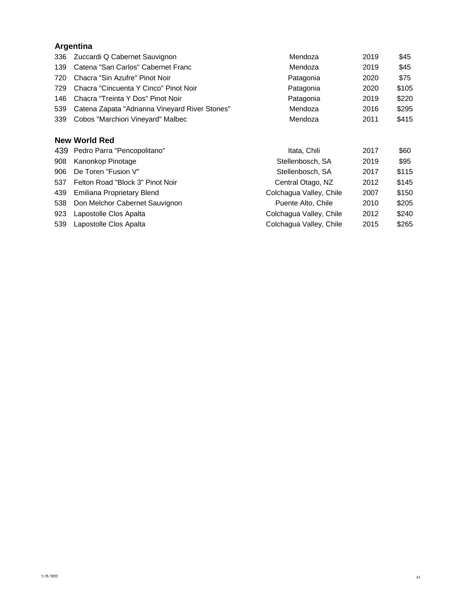# **Argentina**

| 336 | Zuccardi Q Cabernet Sauvignon                  | Mendoza                 | 2019 | \$45  |
|-----|------------------------------------------------|-------------------------|------|-------|
| 139 | Catena "San Carlos" Cabernet Franc             | Mendoza                 | 2019 | \$45  |
| 720 | Chacra "Sin Azufre" Pinot Noir                 | Patagonia               | 2020 | \$75  |
| 729 | Chacra "Cincuenta Y Cinco" Pinot Noir          | Patagonia               | 2020 | \$105 |
| 146 | Chacra "Treinta Y Dos" Pinot Noir              | Patagonia               | 2019 | \$220 |
| 539 | Catena Zapata "Adrianna Vineyard River Stones" | Mendoza                 | 2016 | \$295 |
| 339 | Cobos "Marchiori Vineyard" Malbec              | Mendoza                 | 2011 | \$415 |
|     | <b>New World Red</b>                           |                         |      |       |
|     | 439 Pedro Parra "Pencopolitano"                | Itata, Chili            | 2017 | \$60  |
| 908 | Kanonkop Pinotage                              | Stellenbosch, SA        | 2019 | \$95  |
| 906 | De Toren "Fusion V"                            | Stellenbosch, SA        | 2017 | \$115 |
| 537 | Felton Road "Block 3" Pinot Noir               | Central Otago, NZ       | 2012 | \$145 |
| 439 | Emiliana Proprietary Blend                     | Colchagua Valley, Chile | 2007 | \$150 |
| 538 | Don Melchor Cabernet Sauvignon                 | Puente Alto, Chile      | 2010 | \$205 |
| 923 | Lapostolle Clos Apalta                         | Colchagua Valley, Chile | 2012 | \$240 |
| 539 | Lapostolle Clos Apalta                         | Colchagua Valley, Chile | 2015 | \$265 |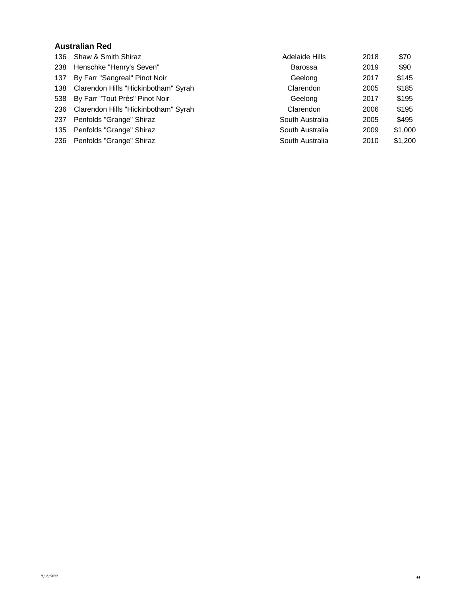#### **Australian Red**

| 136 | Shaw & Smith Shiraz                  | <b>Adelaide Hills</b> | 2018 | \$70    |
|-----|--------------------------------------|-----------------------|------|---------|
| 238 | Henschke "Henry's Seven"             | <b>Barossa</b>        | 2019 | \$90    |
| 137 | By Farr "Sangreal" Pinot Noir        | Geelong               | 2017 | \$145   |
| 138 | Clarendon Hills "Hickinbotham" Syrah | Clarendon             | 2005 | \$185   |
|     | 538 By Farr "Tout Près" Pinot Noir   | Geelong               | 2017 | \$195   |
| 236 | Clarendon Hills "Hickinbotham" Syrah | Clarendon             | 2006 | \$195   |
| 237 | Penfolds "Grange" Shiraz             | South Australia       | 2005 | \$495   |
| 135 | Penfolds "Grange" Shiraz             | South Australia       | 2009 | \$1,000 |
| 236 | Penfolds "Grange" Shiraz             | South Australia       | 2010 | \$1,200 |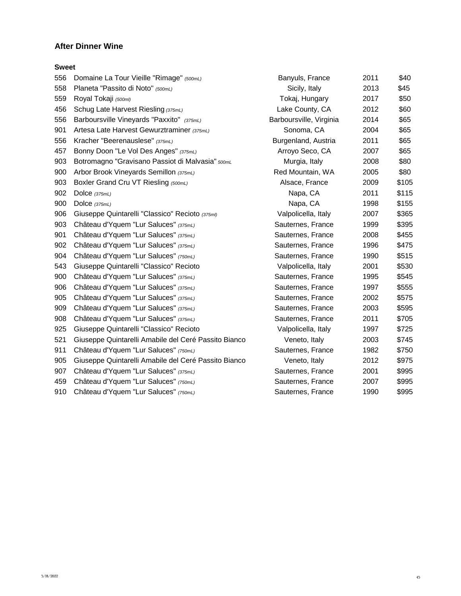### **After Dinner Wine**

#### **Sweet**

| 556 | Domaine La Tour Vieille "Rimage" (500mL)             | Banyuls, France         | 2011 | \$40  |
|-----|------------------------------------------------------|-------------------------|------|-------|
| 558 | Planeta "Passito di Noto" (500mL)                    | Sicily, Italy           | 2013 | \$45  |
| 559 | Royal Tokaji (500ml)                                 | Tokaj, Hungary          | 2017 | \$50  |
| 456 | Schug Late Harvest Riesling (375mL)                  | Lake County, CA         | 2012 | \$60  |
| 556 | Barboursville Vineyards "Paxxito" (375mL)            | Barboursville, Virginia | 2014 | \$65  |
| 901 | Artesa Late Harvest Gewurztraminer (375mL)           | Sonoma, CA              | 2004 | \$65  |
| 556 | Kracher "Beerenauslese" (375mL)                      | Burgenland, Austria     | 2011 | \$65  |
| 457 | Bonny Doon "Le Vol Des Anges" (375mL)                | Arroyo Seco, CA         | 2007 | \$65  |
| 903 | Botromagno "Gravisano Passiot di Malvasia" 500mL     | Murgia, Italy           | 2008 | \$80  |
| 900 | Arbor Brook Vineyards Semillon (375mL)               | Red Mountain, WA        | 2005 | \$80  |
| 903 | Boxler Grand Cru VT Riesling (500mL)                 | Alsace, France          | 2009 | \$105 |
| 902 | Dolce $(375mL)$                                      | Napa, CA                | 2011 | \$115 |
| 900 | Dolce $(375mL)$                                      | Napa, CA                | 1998 | \$155 |
| 906 | Giuseppe Quintarelli "Classico" Recioto (375ml)      | Valpolicella, Italy     | 2007 | \$365 |
| 903 | Château d'Yquem "Lur Saluces" (375mL)                | Sauternes, France       | 1999 | \$395 |
| 901 | Château d'Yquem "Lur Saluces" (375mL)                | Sauternes, France       | 2008 | \$455 |
| 902 | Château d'Yquem "Lur Saluces" (375mL)                | Sauternes, France       | 1996 | \$475 |
| 904 | Château d'Yquem "Lur Saluces" (750mL)                | Sauternes, France       | 1990 | \$515 |
| 543 | Giuseppe Quintarelli "Classico" Recioto              | Valpolicella, Italy     | 2001 | \$530 |
| 900 | Château d'Yquem "Lur Saluces" (375mL)                | Sauternes, France       | 1995 | \$545 |
| 906 | Château d'Yquem "Lur Saluces" (375mL)                | Sauternes, France       | 1997 | \$555 |
| 905 | Château d'Yquem "Lur Saluces" (375mL)                | Sauternes, France       | 2002 | \$575 |
| 909 | Château d'Yquem "Lur Saluces" (375mL)                | Sauternes, France       | 2003 | \$595 |
| 908 | Château d'Yquem "Lur Saluces" (375mL)                | Sauternes, France       | 2011 | \$705 |
| 925 | Giuseppe Quintarelli "Classico" Recioto              | Valpolicella, Italy     | 1997 | \$725 |
| 521 | Giuseppe Quintarelli Amabile del Ceré Passito Bianco | Veneto, Italy           | 2003 | \$745 |
| 911 | Château d'Yquem "Lur Saluces" (750mL)                | Sauternes, France       | 1982 | \$750 |
| 905 | Giuseppe Quintarelli Amabile del Ceré Passito Bianco | Veneto, Italy           | 2012 | \$975 |
| 907 | Château d'Yquem "Lur Saluces" (375mL)                | Sauternes, France       | 2001 | \$995 |
| 459 | Château d'Yquem "Lur Saluces" (750mL)                | Sauternes, France       | 2007 | \$995 |
| 910 | Château d'Yquem "Lur Saluces" (750mL)                | Sauternes, France       | 1990 | \$995 |
|     |                                                      |                         |      |       |